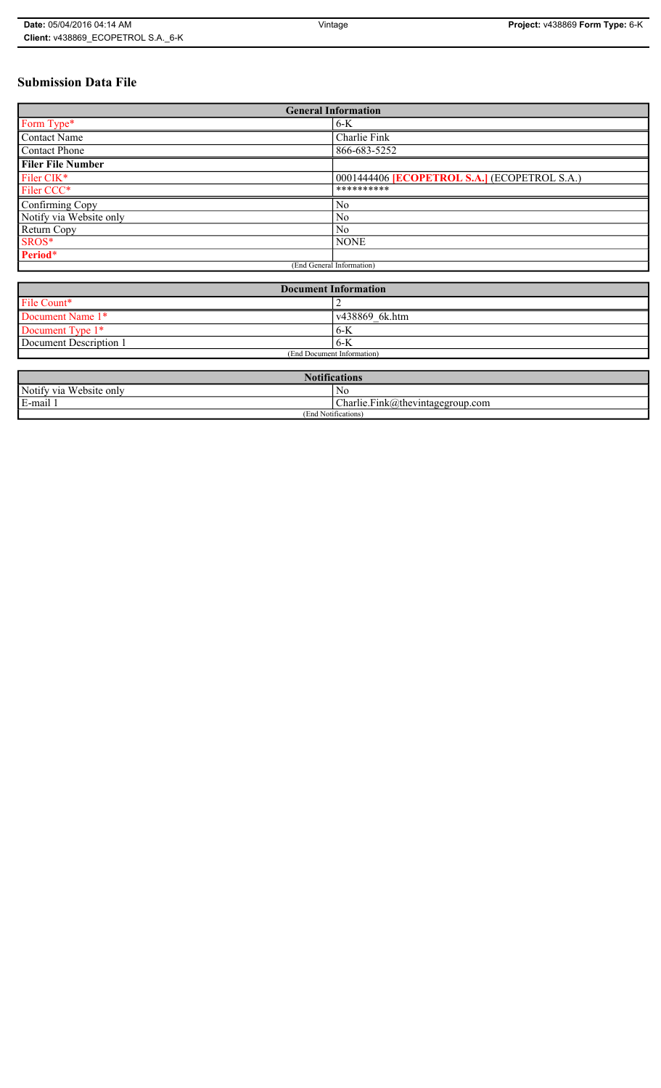#### **Submission Data File**

| <b>General Information</b> |                                                     |  |  |  |
|----------------------------|-----------------------------------------------------|--|--|--|
| Form Type*                 | $6-K$                                               |  |  |  |
| <b>Contact Name</b>        | Charlie Fink                                        |  |  |  |
| <b>Contact Phone</b>       | 866-683-5252                                        |  |  |  |
| <b>Filer File Number</b>   |                                                     |  |  |  |
| Filer CIK*                 | 0001444406 <b>[ECOPETROL S.A.]</b> (ECOPETROL S.A.) |  |  |  |
| Filer CCC*                 | **********                                          |  |  |  |
| Confirming Copy            | No                                                  |  |  |  |
| Notify via Website only    | N <sub>0</sub>                                      |  |  |  |
| Return Copy                | N <sub>0</sub>                                      |  |  |  |
| SROS*                      | <b>NONE</b>                                         |  |  |  |
| Period*                    |                                                     |  |  |  |
|                            | (End General Information)                           |  |  |  |

| <b>Document Information</b> |                |  |  |
|-----------------------------|----------------|--|--|
| File Count*                 |                |  |  |
| Document Name 1*            | v438869 6k.htm |  |  |
| Document Type 1*            | $6-K$          |  |  |
| Document Description 1      | $6-K$          |  |  |
| (End Document Information)  |                |  |  |

| <b>Notifications</b>       |                                                                                      |  |  |  |
|----------------------------|--------------------------------------------------------------------------------------|--|--|--|
| Notify via<br>Website only | No                                                                                   |  |  |  |
| E-mail 1<br>$\blacksquare$ | $\mathbf{r}$<br>$\sim$<br>$\Box$ harlie.Fink $\langle a \rangle$ thevintagegroup.com |  |  |  |
| (End Notifications)        |                                                                                      |  |  |  |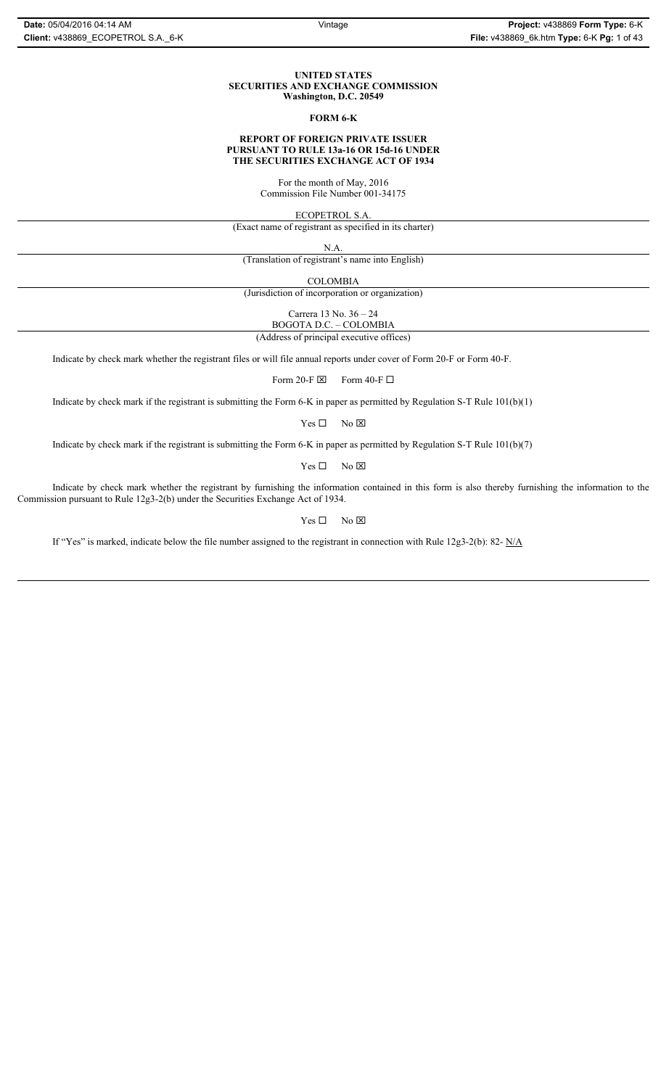#### **UNITED STATES SECURITIES AND EXCHANGE COMMISSION Washington, D.C. 20549**

#### **FORM 6-K**

#### **REPORT OF FOREIGN PRIVATE ISSUER PURSUANT TO RULE 13a-16 OR 15d-16 UNDER THE SECURITIES EXCHANGE ACT OF 1934**

For the month of May, 2016 Commission File Number 001-34175

ECOPETROL S.A.

(Exact name of registrant as specified in its charter)

N.A.

(Translation of registrant's name into English)

COLOMBIA

(Jurisdiction of incorporation or organization)

Carrera 13 No. 36 – 24

BOGOTA D.C. – COLOMBIA (Address of principal executive offices)

Indicate by check mark whether the registrant files or will file annual reports under cover of Form 20-F or Form 40-F.

Form 20-F  $\boxtimes$  Form 40-F  $\Box$ 

Indicate by check mark if the registrant is submitting the Form 6-K in paper as permitted by Regulation S-T Rule 101(b)(1)

 $Yes \Box$  No  $\overline{\boxtimes}$ 

Indicate by check mark if the registrant is submitting the Form 6-K in paper as permitted by Regulation S-T Rule 101(b)(7)

 $Yes \Box$  No  $\boxtimes$ 

Indicate by check mark whether the registrant by furnishing the information contained in this form is also thereby furnishing the information to the Commission pursuant to Rule 12g3-2(b) under the Securities Exchange Act of 1934.

 $Yes \Box$  No  $\boxtimes$ 

If "Yes" is marked, indicate below the file number assigned to the registrant in connection with Rule 12g3-2(b): 82- N/A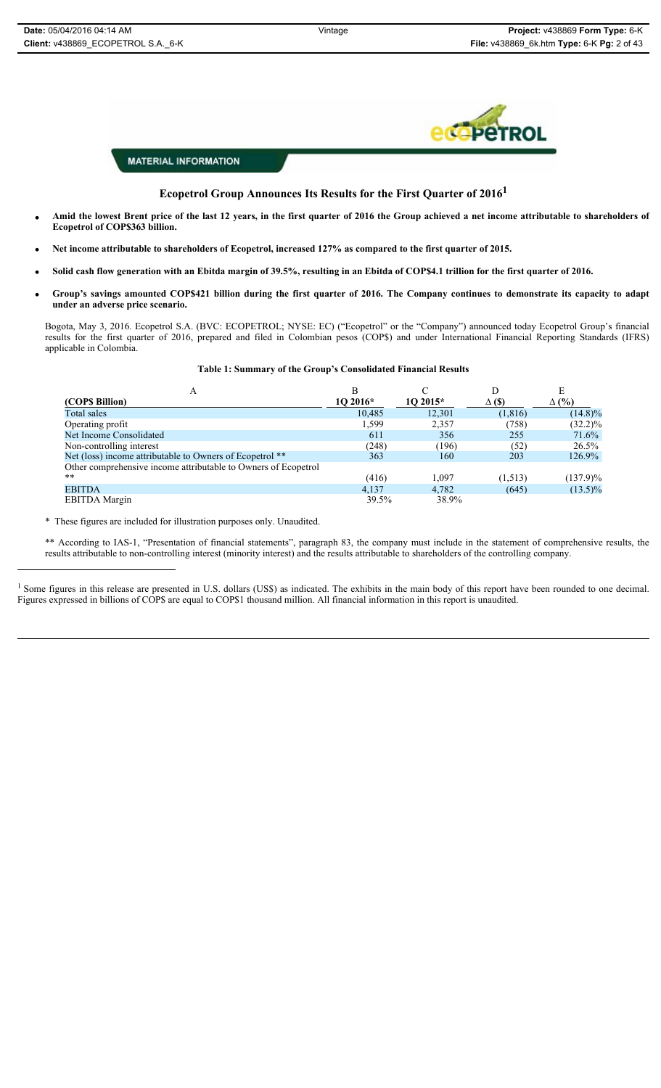

#### **Ecopetrol Group Announces Its Results for the First Quarter of 20161**

- x **Amid the lowest Brent price of the last 12 years, in the first quarter of 2016 the Group achieved a net income attributable to shareholders of Ecopetrol of COP\$363 billion.**
- x **Net income attributable to shareholders of Ecopetrol, increased 127% as compared to the first quarter of 2015.**
- Solid cash flow generation with an Ebitda margin of 39.5%, resulting in an Ebitda of COP\$4.1 trillion for the first quarter of 2016.
- x **Group's savings amounted COP\$421 billion during the first quarter of 2016. The Company continues to demonstrate its capacity to adapt under an adverse price scenario.**

Bogota, May 3, 2016. Ecopetrol S.A. (BVC: ECOPETROL; NYSE: EC) ("Ecopetrol" or the "Company") announced today Ecopetrol Group's financial results for the first quarter of 2016, prepared and filed in Colombian pesos (COP\$) and under International Financial Reporting Standards (IFRS) applicable in Colombia.

#### **Table 1: Summary of the Group's Consolidated Financial Results**

| А                                                              | В         |           | I)            |            |  |
|----------------------------------------------------------------|-----------|-----------|---------------|------------|--|
| (COPS Billion)                                                 | $102016*$ | $102015*$ | $\Delta$ (\$) | (%)<br>Δ   |  |
| Total sales                                                    | 10,485    | 12,301    | (1, 816)      | $(14.8)\%$ |  |
| Operating profit                                               | 1,599     | 2,357     | (758)         | $(32.2)\%$ |  |
| Net Income Consolidated                                        | 611       | 356       | 255           | 71.6%      |  |
| Non-controlling interest                                       | (248)     | (196)     | (52)          | $26.5\%$   |  |
| Net (loss) income attributable to Owners of Ecopetrol **       | 363       | 160       | 203           | 126.9%     |  |
| Other comprehensive income attributable to Owners of Ecopetrol |           |           |               |            |  |
| $**$                                                           | (416)     | 1,097     | (1,513)       | (137.9)%   |  |
| <b>EBITDA</b>                                                  | 4.137     | 4.782     | (645)         | $(13.5)\%$ |  |
| <b>EBITDA</b> Margin                                           | 39.5%     | 38.9%     |               |            |  |

\* These figures are included for illustration purposes only. Unaudited.

\*\* According to IAS-1, "Presentation of financial statements", paragraph 83, the company must include in the statement of comprehensive results, the results attributable to non-controlling interest (minority interest) and the results attributable to shareholders of the controlling company.

<sup>1</sup> Some figures in this release are presented in U.S. dollars (US\$) as indicated. The exhibits in the main body of this report have been rounded to one decimal. Figures expressed in billions of COP\$ are equal to COP\$1 thousand million. All financial information in this report is unaudited.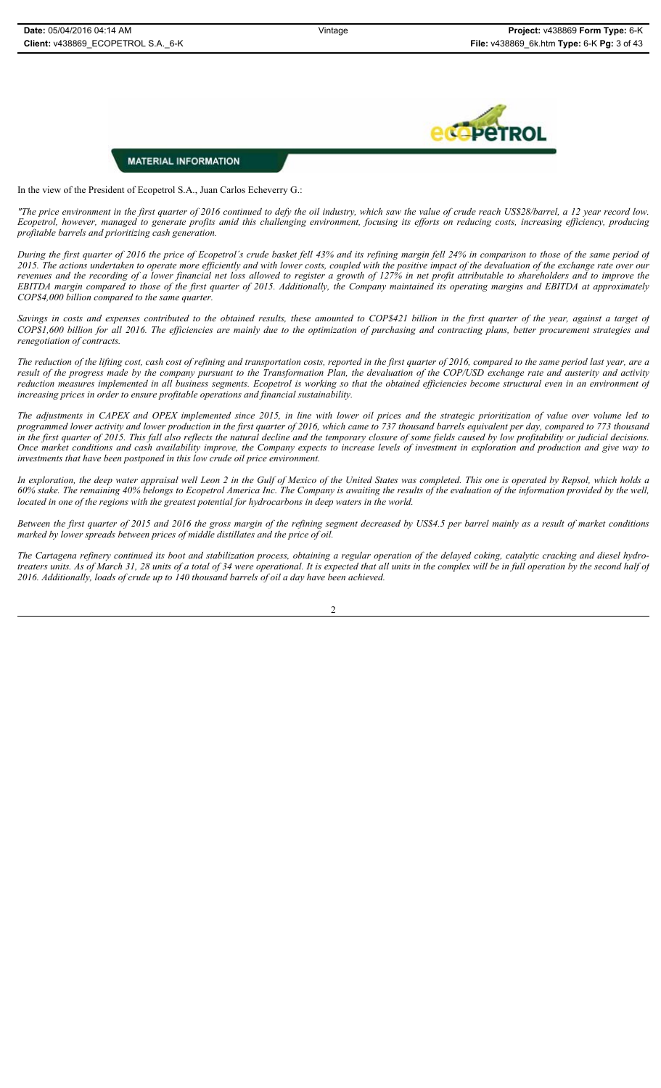

In the view of the President of Ecopetrol S.A., Juan Carlos Echeverry G.:

*"The price environment in the first quarter of 2016 continued to defy the oil industry, which saw the value of crude reach US\$28/barrel, a 12 year record low. Ecopetrol, however, managed to generate profits amid this challenging environment, focusing its efforts on reducing costs, increasing efficiency, producing profitable barrels and prioritizing cash generation.*

*During the first quarter of 2016 the price of Ecopetrol´s crude basket fell 43% and its refining margin fell 24% in comparison to those of the same period of 2015. The actions undertaken to operate more efficiently and with lower costs, coupled with the positive impact of the devaluation of the exchange rate over our revenues and the recording of a lower financial net loss allowed to register a growth of 127% in net profit attributable to shareholders and to improve the EBITDA margin compared to those of the first quarter of 2015. Additionally, the Company maintained its operating margins and EBITDA at approximately COP\$4,000 billion compared to the same quarter.*

*Savings in costs and expenses contributed to the obtained results, these amounted to COP\$421 billion in the first quarter of the year, against a target of COP\$1,600 billion for all 2016. The efficiencies are mainly due to the optimization of purchasing and contracting plans, better procurement strategies and renegotiation of contracts.*

*The reduction of the lifting cost, cash cost of refining and transportation costs, reported in the first quarter of 2016, compared to the same period last year, are a result of the progress made by the company pursuant to the Transformation Plan, the devaluation of the COP/USD exchange rate and austerity and activity reduction measures implemented in all business segments. Ecopetrol is working so that the obtained efficiencies become structural even in an environment of increasing prices in order to ensure profitable operations and financial sustainability.*

*The adjustments in CAPEX and OPEX implemented since 2015, in line with lower oil prices and the strategic prioritization of value over volume led to programmed lower activity and lower production in the first quarter of 2016, which came to 737 thousand barrels equivalent per day, compared to 773 thousand in the first quarter of 2015. This fall also reflects the natural decline and the temporary closure of some fields caused by low profitability or judicial decisions. Once market conditions and cash availability improve, the Company expects to increase levels of investment in exploration and production and give way to investments that have been postponed in this low crude oil price environment.* 

*In exploration, the deep water appraisal well Leon 2 in the Gulf of Mexico of the United States was completed. This one is operated by Repsol, which holds a 60% stake. The remaining 40% belongs to Ecopetrol America Inc. The Company is awaiting the results of the evaluation of the information provided by the well, located in one of the regions with the greatest potential for hydrocarbons in deep waters in the world.*

*Between the first quarter of 2015 and 2016 the gross margin of the refining segment decreased by US\$4.5 per barrel mainly as a result of market conditions marked by lower spreads between prices of middle distillates and the price of oil.* 

*The Cartagena refinery continued its boot and stabilization process, obtaining a regular operation of the delayed coking, catalytic cracking and diesel hydrotreaters units. As of March 31, 28 units of a total of 34 were operational. It is expected that all units in the complex will be in full operation by the second half of 2016. Additionally, loads of crude up to 140 thousand barrels of oil a day have been achieved.*

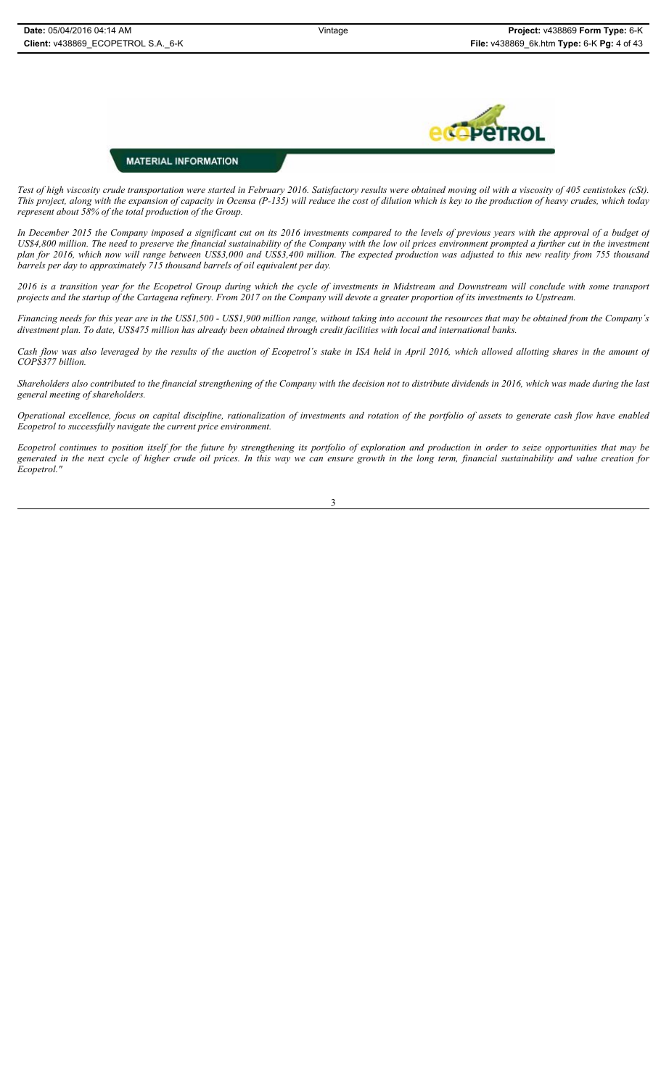

*Test of high viscosity crude transportation were started in February 2016. Satisfactory results were obtained moving oil with a viscosity of 405 centistokes (cSt). This project, along with the expansion of capacity in Ocensa (P-135) will reduce the cost of dilution which is key to the production of heavy crudes, which today represent about 58% of the total production of the Group.*

*In December 2015 the Company imposed a significant cut on its 2016 investments compared to the levels of previous years with the approval of a budget of US\$4,800 million. The need to preserve the financial sustainability of the Company with the low oil prices environment prompted a further cut in the investment plan for 2016, which now will range between US\$3,000 and US\$3,400 million. The expected production was adjusted to this new reality from 755 thousand barrels per day to approximately 715 thousand barrels of oil equivalent per day.*

*2016 is a transition year for the Ecopetrol Group during which the cycle of investments in Midstream and Downstream will conclude with some transport projects and the startup of the Cartagena refinery. From 2017 on the Company will devote a greater proportion of its investments to Upstream.*

*Financing needs for this year are in the US\$1,500 - US\$1,900 million range, without taking into account the resources that may be obtained from the Company´s divestment plan. To date, US\$475 million has already been obtained through credit facilities with local and international banks.*

*Cash flow was also leveraged by the results of the auction of Ecopetrol´s stake in ISA held in April 2016, which allowed allotting shares in the amount of COP\$377 billion.*

*Shareholders also contributed to the financial strengthening of the Company with the decision not to distribute dividends in 2016, which was made during the last general meeting of shareholders.* 

*Operational excellence, focus on capital discipline, rationalization of investments and rotation of the portfolio of assets to generate cash flow have enabled Ecopetrol to successfully navigate the current price environment.*

*Ecopetrol continues to position itself for the future by strengthening its portfolio of exploration and production in order to seize opportunities that may be generated in the next cycle of higher crude oil prices. In this way we can ensure growth in the long term, financial sustainability and value creation for Ecopetrol."*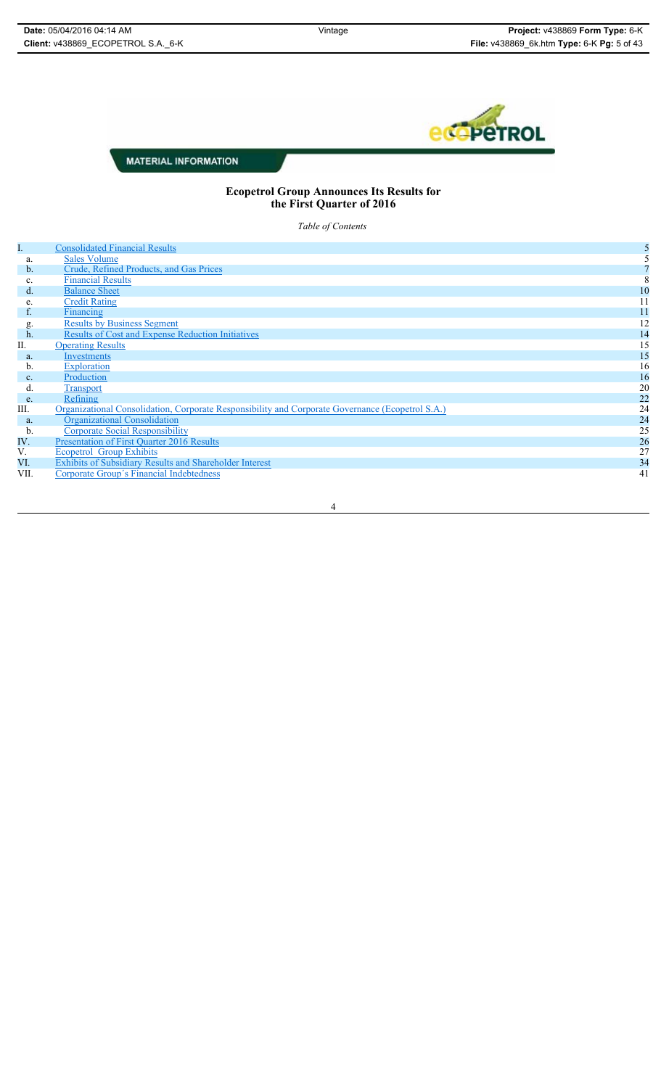

#### **Ecopetrol Group Announces Its Results for the First Quarter of 2016**

*Table of Contents*

| I.            | <b>Consolidated Financial Results</b>                                                            |    |
|---------------|--------------------------------------------------------------------------------------------------|----|
| a.            | <b>Sales Volume</b>                                                                              |    |
| $\mathbf b$ . | Crude, Refined Products, and Gas Prices                                                          |    |
| c.            | <b>Financial Results</b>                                                                         | 8  |
| $d$ .         | <b>Balance Sheet</b>                                                                             | 10 |
| e.            | <b>Credit Rating</b>                                                                             | 11 |
| f.            | Financing                                                                                        | 11 |
| g.            | <b>Results by Business Segment</b>                                                               | 12 |
| h.            | <b>Results of Cost and Expense Reduction Initiatives</b>                                         | 14 |
| П.            | <b>Operating Results</b>                                                                         | 15 |
| a.            | Investments                                                                                      | 15 |
| b.            | Exploration                                                                                      | 16 |
| c.            | Production                                                                                       | 16 |
| d.            | <b>Transport</b>                                                                                 | 20 |
| e.            | Refining                                                                                         | 22 |
| III.          | Organizational Consolidation, Corporate Responsibility and Corporate Governance (Ecopetrol S.A.) | 24 |
| a.            | Organizational Consolidation                                                                     | 24 |
| b.            | <b>Corporate Social Responsibility</b>                                                           | 25 |
| IV.           | <b>Presentation of First Quarter 2016 Results</b>                                                | 26 |
| V.            | <b>Ecopetrol Group Exhibits</b>                                                                  | 27 |
| VI.           | Exhibits of Subsidiary Results and Shareholder Interest                                          | 34 |
| VII.          | Corporate Group's Financial Indebtedness                                                         | 41 |
|               |                                                                                                  |    |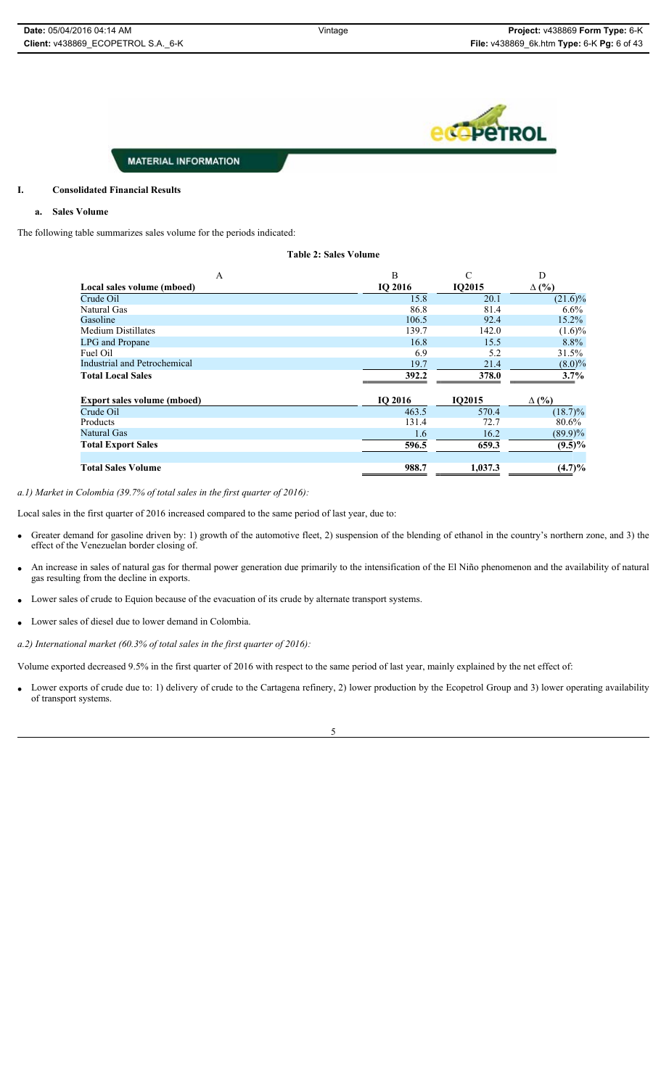*<u>ACAPETROL</u>* 

#### **MATERIAL INFORMATION**

#### **I. Consolidated Financial Results**

#### **a. Sales Volume**

The following table summarizes sales volume for the periods indicated:

| $\mathbf{A}$                        | B       | C       | D            |
|-------------------------------------|---------|---------|--------------|
| Local sales volume (mboed)          | IO 2016 | IO2015  | $\Delta$ (%) |
| Crude Oil                           | 15.8    | 20.1    | $(21.6)\%$   |
| Natural Gas                         | 86.8    | 81.4    | $6.6\%$      |
| Gasoline                            | 106.5   | 92.4    | 15.2%        |
| Medium Distillates                  | 139.7   | 142.0   | $(1.6)\%$    |
| <b>LPG</b> and Propane              | 16.8    | 15.5    | $8.8\%$      |
| Fuel Oil                            | 6.9     | 5.2     | 31.5%        |
| <b>Industrial and Petrochemical</b> | 19.7    | 21.4    | $(8.0)\%$    |
| <b>Total Local Sales</b>            | 392.2   | 378.0   | 3.7%         |
| <b>Export sales volume (mboed)</b>  | IO 2016 | IO2015  | $\Delta$ (%) |
| Crude Oil                           | 463.5   | 570.4   | $(18.7)\%$   |
| Products                            | 131.4   | 72.7    | 80.6%        |
| Natural Gas                         | 1.6     | 16.2    | $(89.9)\%$   |
| <b>Total Export Sales</b>           | 596.5   | 659.3   | $(9.5)\%$    |
| <b>Total Sales Volume</b>           | 988.7   | 1.037.3 | (4.7)%       |

**Table 2: Sales Volume** 

*a.1) Market in Colombia (39.7% of total sales in the first quarter of 2016):* 

Local sales in the first quarter of 2016 increased compared to the same period of last year, due to:

- Greater demand for gasoline driven by: 1) growth of the automotive fleet, 2) suspension of the blending of ethanol in the country's northern zone, and 3) the effect of the Venezuelan border closing of.
- An increase in sales of natural gas for thermal power generation due primarily to the intensification of the El Niño phenomenon and the availability of natural gas resulting from the decline in exports.
- Lower sales of crude to Equion because of the evacuation of its crude by alternate transport systems.
- Lower sales of diesel due to lower demand in Colombia.
- *a.2) International market (60.3% of total sales in the first quarter of 2016):*

Volume exported decreased 9.5% in the first quarter of 2016 with respect to the same period of last year, mainly explained by the net effect of:

Lower exports of crude due to: 1) delivery of crude to the Cartagena refinery, 2) lower production by the Ecopetrol Group and 3) lower operating availability of transport systems.

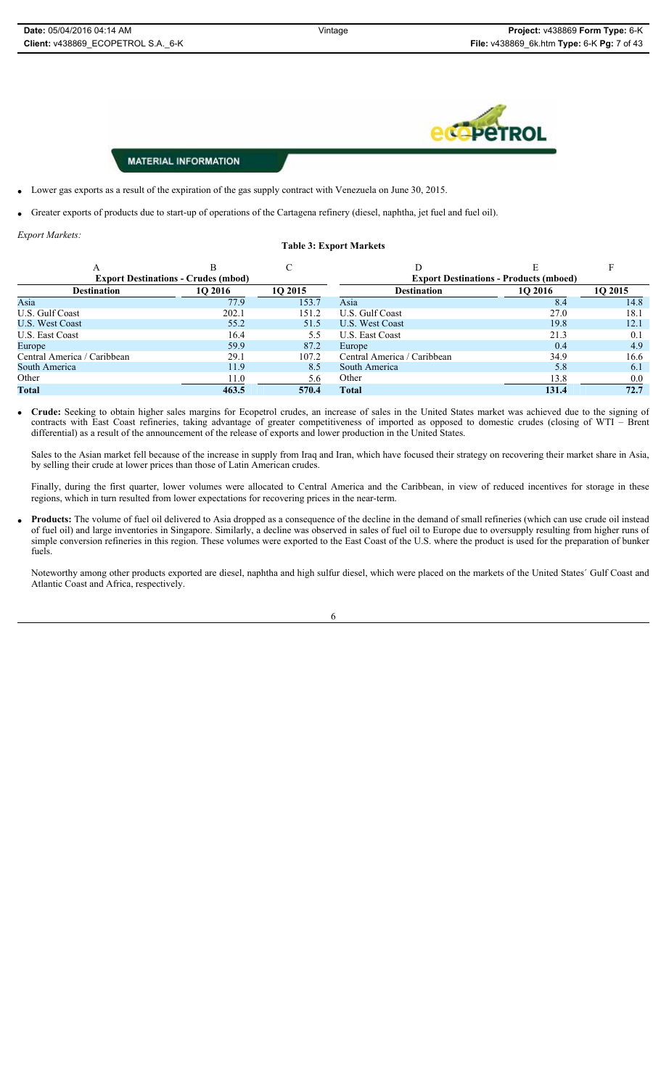**PETROL** 

#### **MATERIAL INFORMATION**

- Lower gas exports as a result of the expiration of the gas supply contract with Venezuela on June 30, 2015.
- Greater exports of products due to start-up of operations of the Cartagena refinery (diesel, naphtha, jet fuel and fuel oil).

*Export Markets:* 

#### **Table 3: Export Markets**

| <b>Export Destinations - Crudes (mbod)</b> |         |         | <b>Export Destinations - Products (mboed)</b> |         |      |  |  |
|--------------------------------------------|---------|---------|-----------------------------------------------|---------|------|--|--|
| <b>Destination</b>                         | 10 2016 | 10 2015 | <b>Destination</b>                            | 10 2016 |      |  |  |
| Asia                                       | 77.9    | 153.7   | Asia                                          | 8.4     | 14.8 |  |  |
| U.S. Gulf Coast                            | 202.1   | 151.2   | U.S. Gulf Coast                               | 27.0    | 18.1 |  |  |
| <b>U.S. West Coast</b>                     | 55.2    | 51.5    | U.S. West Coast                               | 19.8    | 12.1 |  |  |
| U.S. East Coast                            | 16.4    | 5.5     | U.S. East Coast                               | 21.3    | 0.1  |  |  |
| Europe                                     | 59.9    | 87.2    | Europe                                        | 0.4     | 4.9  |  |  |
| Central America / Caribbean                | 29.1    | 107.2   | Central America / Caribbean                   | 34.9    | 16.6 |  |  |
| South America                              | 11.9    | 8.5     | South America                                 | 5.8     | 6.1  |  |  |
| Other                                      | 11.0    | 5.6     | Other                                         | 13.8    | 0.0  |  |  |
| <b>Total</b>                               | 463.5   | 570.4   | <b>Total</b>                                  | 131.4   | 72.7 |  |  |

x **Crude:** Seeking to obtain higher sales margins for Ecopetrol crudes, an increase of sales in the United States market was achieved due to the signing of contracts with East Coast refineries, taking advantage of greater competitiveness of imported as opposed to domestic crudes (closing of WTI – Brent differential) as a result of the announcement of the release of exports and lower production in the United States.

Sales to the Asian market fell because of the increase in supply from Iraq and Iran, which have focused their strategy on recovering their market share in Asia, by selling their crude at lower prices than those of Latin American crudes.

Finally, during the first quarter, lower volumes were allocated to Central America and the Caribbean, in view of reduced incentives for storage in these regions, which in turn resulted from lower expectations for recovering prices in the near-term.

Products: The volume of fuel oil delivered to Asia dropped as a consequence of the decline in the demand of small refineries (which can use crude oil instead of fuel oil) and large inventories in Singapore. Similarly, a decline was observed in sales of fuel oil to Europe due to oversupply resulting from higher runs of simple conversion refineries in this region. These volumes were exported to the East Coast of the U.S. where the product is used for the preparation of bunker fuels.

Noteworthy among other products exported are diesel, naphtha and high sulfur diesel, which were placed on the markets of the United States´ Gulf Coast and Atlantic Coast and Africa, respectively.

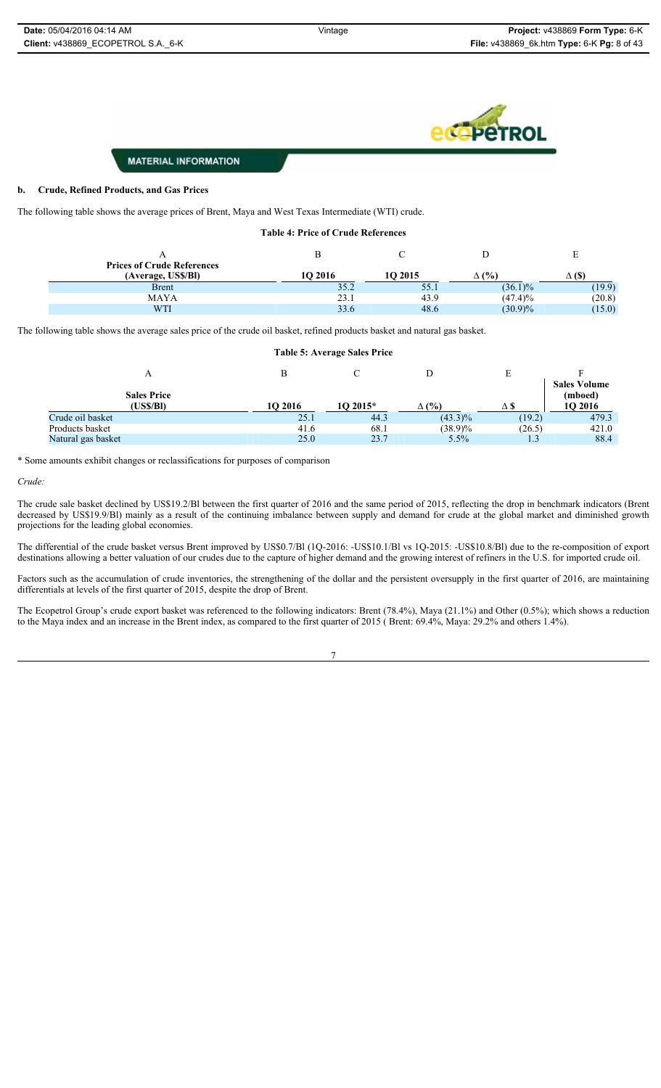

#### **b. Crude, Refined Products, and Gas Prices**

The following table shows the average prices of Brent, Maya and West Texas Intermediate (WTI) crude.

| <b>Prices of Crude References</b> |         |         |              |               |
|-----------------------------------|---------|---------|--------------|---------------|
| (Average, US\$/BI)                | 10 2016 | 10 2015 | $\Delta$ (%) | $\Delta$ (\$) |
| <b>Brent</b>                      | 35.2    | 55.1    | $(36.1)\%$   | (19.9)        |
| <b>MAYA</b>                       | 23.1    | 43.9    | $(47.4)\%$   | (20.8)        |
| WTI                               | 33.6    | 48.6    | $(30.9)\%$   | (15.0)        |

**Table 4: Price of Crude References** 

The following table shows the average sales price of the crude oil basket, refined products basket and natural gas basket.

| <b>Table 5: Average Sales Price</b> |         |           |              |        |                                           |  |  |  |
|-------------------------------------|---------|-----------|--------------|--------|-------------------------------------------|--|--|--|
|                                     | в       |           |              |        |                                           |  |  |  |
| <b>Sales Price</b><br>(US\$/BI)     | 10 2016 | $102015*$ | $\Delta$ (%) | ΔS     | <b>Sales Volume</b><br>(mboed)<br>10 2016 |  |  |  |
| Crude oil basket                    | 25.1    | 44.3      | $(43.3)\%$   | (19.2) | 479.3                                     |  |  |  |
| Products basket                     | 41.6    | 68.1      | $(38.9)\%$   | (26.5) | 421.0                                     |  |  |  |
| Natural gas basket                  | 25.0    | 23.7      | $5.5\%$      | 1.3    | 88.4                                      |  |  |  |

\* Some amounts exhibit changes or reclassifications for purposes of comparison

#### *Crude:*

The crude sale basket declined by US\$19.2/Bl between the first quarter of 2016 and the same period of 2015, reflecting the drop in benchmark indicators (Brent decreased by US\$19.9/Bl) mainly as a result of the continuing imbalance between supply and demand for crude at the global market and diminished growth projections for the leading global economies.

The differential of the crude basket versus Brent improved by US\$0.7/Bl (1Q-2016: -US\$10.1/Bl vs 1Q-2015: -US\$10.8/Bl) due to the re-composition of export destinations allowing a better valuation of our crudes due to the capture of higher demand and the growing interest of refiners in the U.S. for imported crude oil.

Factors such as the accumulation of crude inventories, the strengthening of the dollar and the persistent oversupply in the first quarter of 2016, are maintaining differentials at levels of the first quarter of 2015, despite the drop of Brent.

The Ecopetrol Group's crude export basket was referenced to the following indicators: Brent (78.4%), Maya (21.1%) and Other (0.5%); which shows a reduction to the Maya index and an increase in the Brent index, as compared to the first quarter of 2015 ( Brent: 69.4%, Maya: 29.2% and others 1.4%).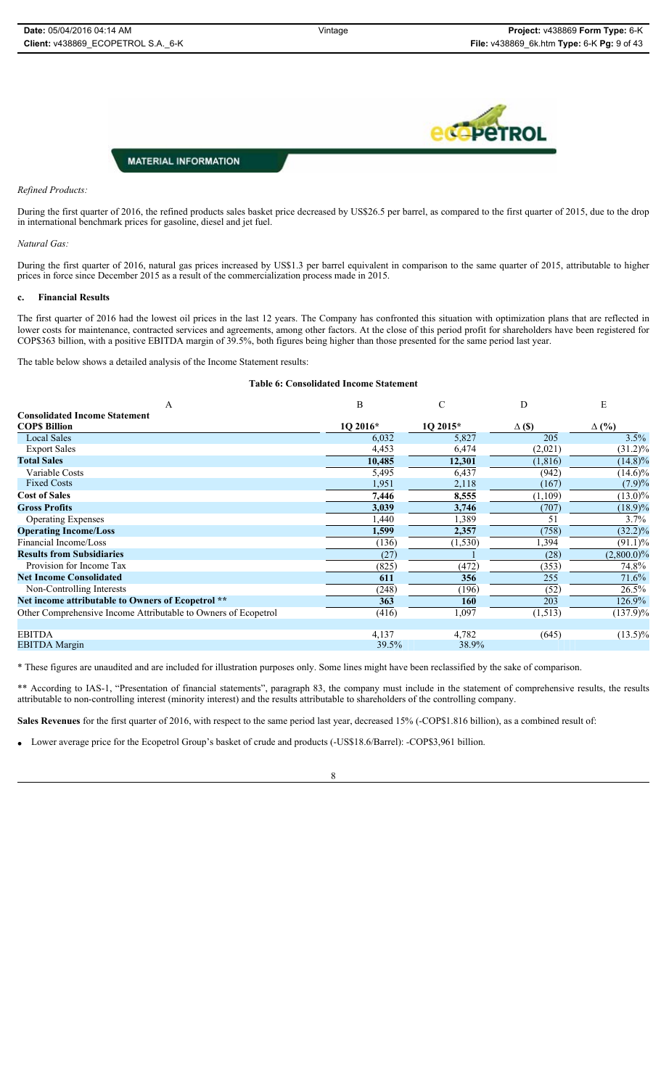ÞЕ

**MATERIAL INFORMATION** 

#### *Refined Products:*

During the first quarter of 2016, the refined products sales basket price decreased by US\$26.5 per barrel, as compared to the first quarter of 2015, due to the drop in international benchmark prices for gasoline, diesel and jet fuel.

#### *Natural Gas:*

During the first quarter of 2016, natural gas prices increased by US\$1.3 per barrel equivalent in comparison to the same quarter of 2015, attributable to higher prices in force since December 2015 as a result of the commercialization process made in 2015.

#### **c. Financial Results**

The first quarter of 2016 had the lowest oil prices in the last 12 years. The Company has confronted this situation with optimization plans that are reflected in lower costs for maintenance, contracted services and agreements, among other factors. At the close of this period profit for shareholders have been registered for COP\$363 billion, with a positive EBITDA margin of 39.5%, both figures being higher than those presented for the same period last year.

The table below shows a detailed analysis of the Income Statement results:

#### **Table 6: Consolidated Income Statement**

| A                                                              | B        | C        | D             | Е             |  |
|----------------------------------------------------------------|----------|----------|---------------|---------------|--|
| <b>Consolidated Income Statement</b>                           |          |          |               |               |  |
| <b>COPS Billion</b>                                            | 10 2016* | 10 2015* | $\Delta$ (\$) | $\Delta$ (%)  |  |
| <b>Local Sales</b>                                             | 6,032    | 5,827    | 205           | 3.5%          |  |
| <b>Export Sales</b>                                            | 4,453    | 6,474    | (2,021)       | $(31.2)\%$    |  |
| <b>Total Sales</b>                                             | 10,485   | 12,301   | (1, 816)      | $(14.8)\%$    |  |
| Variable Costs                                                 | 5,495    | 6,437    | (942)         | $(14.6)\%$    |  |
| <b>Fixed Costs</b>                                             | 1,951    | 2,118    | (167)         | $(7.9)\%$     |  |
| <b>Cost of Sales</b>                                           | 7,446    | 8,555    | (1,109)       | $(13.0)\%$    |  |
| <b>Gross Profits</b>                                           | 3,039    | 3,746    | (707)         | $(18.9)\%$    |  |
| <b>Operating Expenses</b>                                      | 1,440    | 1,389    | 51            | $3.7\%$       |  |
| <b>Operating Income/Loss</b>                                   | 1,599    | 2,357    | (758)         | $(32.2)\%$    |  |
| Financial Income/Loss                                          | (136)    | (1, 530) | 1,394         | $(91.1)\%$    |  |
| <b>Results from Subsidiaries</b>                               | (27)     |          | (28)          | $(2,800.0)\%$ |  |
| Provision for Income Tax                                       | (825)    | (472)    | (353)         | 74.8%         |  |
| <b>Net Income Consolidated</b>                                 | 611      | 356      | 255           | 71.6%         |  |
| Non-Controlling Interests                                      | (248)    | (196)    | (52)          | $26.5\%$      |  |
| Net income attributable to Owners of Ecopetrol **              | 363      | 160      | 203           | $126.9\%$     |  |
| Other Comprehensive Income Attributable to Owners of Ecopetrol | (416)    | 1,097    | (1,513)       | $(137.9)\%$   |  |
| <b>EBITDA</b>                                                  | 4,137    | 4,782    | (645)         | $(13.5)\%$    |  |
| <b>EBITDA</b> Margin                                           | 39.5%    | 38.9%    |               |               |  |

\* These figures are unaudited and are included for illustration purposes only. Some lines might have been reclassified by the sake of comparison.

\*\* According to IAS-1, "Presentation of financial statements", paragraph 83, the company must include in the statement of comprehensive results, the results attributable to non-controlling interest (minority interest) and the results attributable to shareholders of the controlling company.

**Sales Revenues** for the first quarter of 2016, with respect to the same period last year, decreased 15% (-COP\$1.816 billion), as a combined result of:

x Lower average price for the Ecopetrol Group's basket of crude and products (-US\$18.6/Barrel): -COP\$3,961 billion.

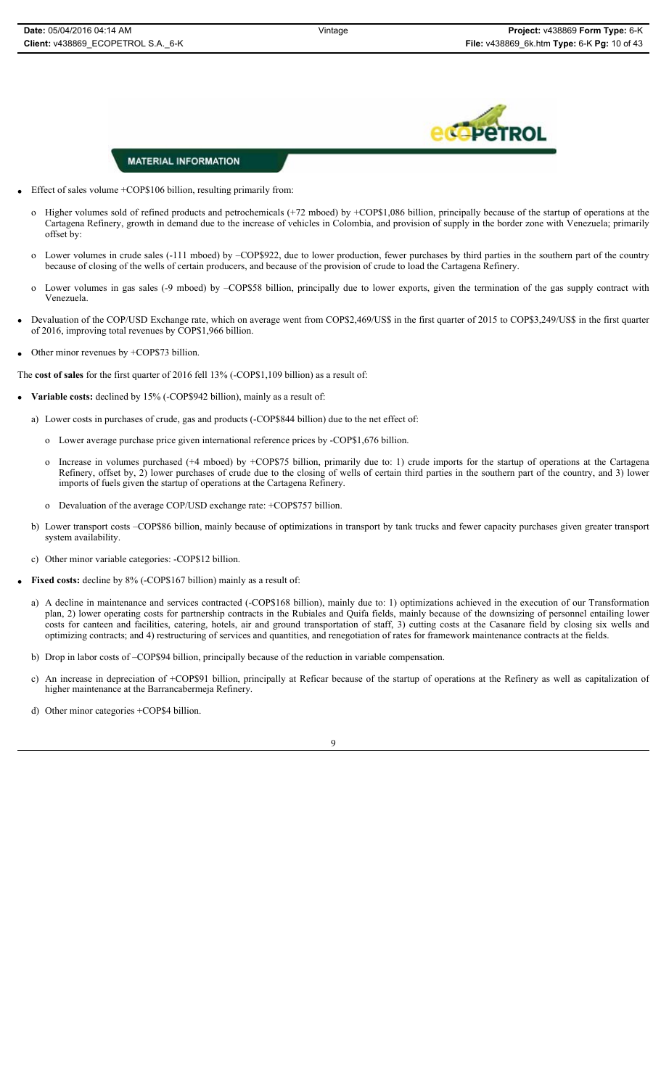

- Effect of sales volume  $+COP$106$  billion, resulting primarily from:
	- o Higher volumes sold of refined products and petrochemicals (+72 mboed) by +COP\$1,086 billion, principally because of the startup of operations at the Cartagena Refinery, growth in demand due to the increase of vehicles in Colombia, and provision of supply in the border zone with Venezuela; primarily offset by:
	- o Lower volumes in crude sales (-111 mboed) by –COP\$922, due to lower production, fewer purchases by third parties in the southern part of the country because of closing of the wells of certain producers, and because of the provision of crude to load the Cartagena Refinery.
	- o Lower volumes in gas sales (-9 mboed) by –COP\$58 billion, principally due to lower exports, given the termination of the gas supply contract with Venezuela.
- Devaluation of the COP/USD Exchange rate, which on average went from COP\$2,469/US\$ in the first quarter of 2015 to COP\$3,249/US\$ in the first quarter of 2016, improving total revenues by COP\$1,966 billion.
- Other minor revenues by +COP\$73 billion.

The **cost of sales** for the first quarter of 2016 fell 13% (-COP\$1,109 billion) as a result of:

- Variable costs: declined by 15% (-COP\$942 billion), mainly as a result of:
	- a) Lower costs in purchases of crude, gas and products (-COP\$844 billion) due to the net effect of:
		- o Lower average purchase price given international reference prices by -COP\$1,676 billion.
		- o Increase in volumes purchased (+4 mboed) by +COP\$75 billion, primarily due to: 1) crude imports for the startup of operations at the Cartagena Refinery, offset by, 2) lower purchases of crude due to the closing of wells of certain third parties in the southern part of the country, and 3) lower imports of fuels given the startup of operations at the Cartagena Refinery.
		- o Devaluation of the average COP/USD exchange rate: +COP\$757 billion.
	- b) Lower transport costs –COP\$86 billion, mainly because of optimizations in transport by tank trucks and fewer capacity purchases given greater transport system availability.
	- c) Other minor variable categories: -COP\$12 billion.
- Fixed costs: decline by 8% (-COP\$167 billion) mainly as a result of:
- a) A decline in maintenance and services contracted (-COP\$168 billion), mainly due to: 1) optimizations achieved in the execution of our Transformation plan, 2) lower operating costs for partnership contracts in the Rubiales and Quifa fields, mainly because of the downsizing of personnel entailing lower costs for canteen and facilities, catering, hotels, air and ground transportation of staff, 3) cutting costs at the Casanare field by closing six wells and optimizing contracts; and 4) restructuring of services and quantities, and renegotiation of rates for framework maintenance contracts at the fields.
- b) Drop in labor costs of –COP\$94 billion, principally because of the reduction in variable compensation.
- c) An increase in depreciation of +COP\$91 billion, principally at Reficar because of the startup of operations at the Refinery as well as capitalization of higher maintenance at the Barrancabermeja Refinery.
- d) Other minor categories +COP\$4 billion.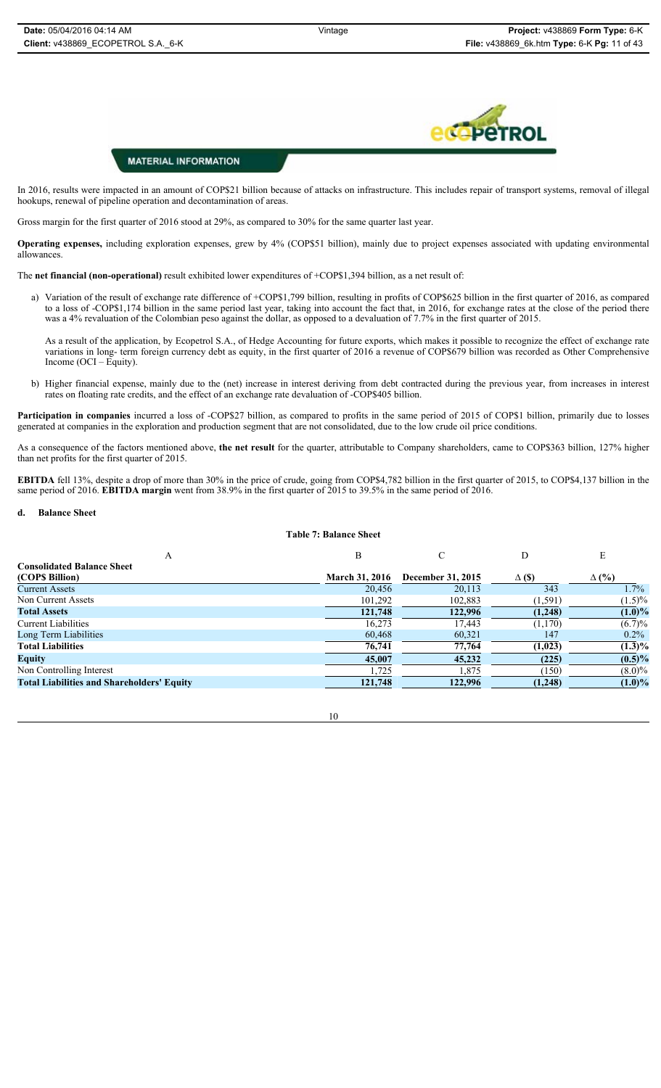## **PeTROL**

#### **MATERIAL INFORMATION**

In 2016, results were impacted in an amount of COP\$21 billion because of attacks on infrastructure. This includes repair of transport systems, removal of illegal hookups, renewal of pipeline operation and decontamination of areas.

Gross margin for the first quarter of 2016 stood at 29%, as compared to 30% for the same quarter last year.

**Operating expenses,** including exploration expenses, grew by 4% (COP\$51 billion), mainly due to project expenses associated with updating environmental allowances.

The **net financial (non-operational)** result exhibited lower expenditures of +COP\$1,394 billion, as a net result of:

a) Variation of the result of exchange rate difference of +COP\$1,799 billion, resulting in profits of COP\$625 billion in the first quarter of 2016, as compared to a loss of -COP\$1,174 billion in the same period last year, taking into account the fact that, in 2016, for exchange rates at the close of the period there was a 4% revaluation of the Colombian peso against the dollar, as opposed to a devaluation of 7.7% in the first quarter of 2015.

As a result of the application, by Ecopetrol S.A., of Hedge Accounting for future exports, which makes it possible to recognize the effect of exchange rate variations in long- term foreign currency debt as equity, in the first quarter of 2016 a revenue of COP\$679 billion was recorded as Other Comprehensive Income (OCI – Equity).

b) Higher financial expense, mainly due to the (net) increase in interest deriving from debt contracted during the previous year, from increases in interest rates on floating rate credits, and the effect of an exchange rate devaluation of -COP\$405 billion.

Participation in companies incurred a loss of -COP\$27 billion, as compared to profits in the same period of 2015 of COP\$1 billion, primarily due to losses generated at companies in the exploration and production segment that are not consolidated, due to the low crude oil price conditions.

As a consequence of the factors mentioned above, **the net result** for the quarter, attributable to Company shareholders, came to COP\$363 billion, 127% higher than net profits for the first quarter of 2015.

**EBITDA** fell 13%, despite a drop of more than 30% in the price of crude, going from COP\$4,782 billion in the first quarter of 2015, to COP\$4,137 billion in the same period of 2016. **EBITDA margin** went from 38.9% in the first quarter of 2015 to 39.5% in the same period of 2016.

#### **d. Balance Sheet**

#### **Table 7: Balance Sheet**

| A                                                 | B                     |                   | D             | E            |
|---------------------------------------------------|-----------------------|-------------------|---------------|--------------|
| <b>Consolidated Balance Sheet</b>                 |                       |                   |               |              |
| (COP\$ Billion)                                   | <b>March 31, 2016</b> | December 31, 2015 | $\Delta$ (\$) | $\Delta$ (%) |
| <b>Current Assets</b>                             | 20,456                | 20,113            | 343           | $1.7\%$      |
| Non Current Assets                                | 101,292               | 102,883           | (1, 591)      | $(1.5)\%$    |
| <b>Total Assets</b>                               | 121,748               | 122,996           | (1,248)       | $(1.0)\%$    |
| <b>Current Liabilities</b>                        | 16.273                | 17,443            | (1,170)       | $(6.7)\%$    |
| Long Term Liabilities                             | 60,468                | 60,321            | 147           | $0.2\%$      |
| <b>Total Liabilities</b>                          | 76,741                | 77,764            | (1,023)       | $(1.3)\%$    |
| <b>Equity</b>                                     | 45,007                | 45,232            | (225)         | $(0.5)\%$    |
| Non Controlling Interest                          | 1,725                 | .875              | (150)         | $(8.0)\%$    |
| <b>Total Liabilities and Shareholders' Equity</b> | 121,748               | 122,996           | (1,248)       | $(1.0)\%$    |

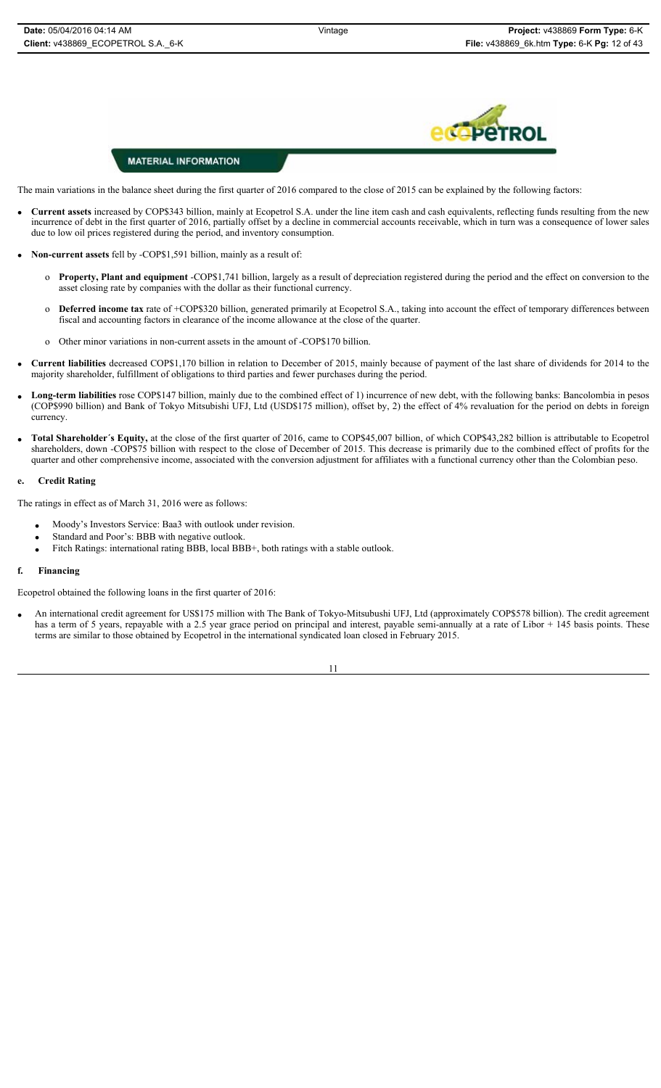## De

#### **MATERIAL INFORMATION**

The main variations in the balance sheet during the first quarter of 2016 compared to the close of 2015 can be explained by the following factors:

- x **Current assets** increased by COP\$343 billion, mainly at Ecopetrol S.A. under the line item cash and cash equivalents, reflecting funds resulting from the new incurrence of debt in the first quarter of 2016, partially offset by a decline in commercial accounts receivable, which in turn was a consequence of lower sales due to low oil prices registered during the period, and inventory consumption.
- x **Non-current assets** fell by -COP\$1,591 billion, mainly as a result of:
	- o **Property, Plant and equipment** -COP\$1,741 billion, largely as a result of depreciation registered during the period and the effect on conversion to the asset closing rate by companies with the dollar as their functional currency.
	- o **Deferred income tax** rate of +COP\$320 billion, generated primarily at Ecopetrol S.A., taking into account the effect of temporary differences between fiscal and accounting factors in clearance of the income allowance at the close of the quarter.
	- o Other minor variations in non-current assets in the amount of -COP\$170 billion.
- x **Current liabilities** decreased COP\$1,170 billion in relation to December of 2015, mainly because of payment of the last share of dividends for 2014 to the majority shareholder, fulfillment of obligations to third parties and fewer purchases during the period.
- Long-term liabilities rose COP\$147 billion, mainly due to the combined effect of 1) incurrence of new debt, with the following banks: Bancolombia in pesos (COP\$990 billion) and Bank of Tokyo Mitsubishi UFJ, Ltd (USD\$175 million), offset by, 2) the effect of 4% revaluation for the period on debts in foreign currency.
- x **Total Shareholder´s Equity,** at the close of the first quarter of 2016, came to COP\$45,007 billion, of which COP\$43,282 billion is attributable to Ecopetrol shareholders, down -COP\$75 billion with respect to the close of December of 2015. This decrease is primarily due to the combined effect of profits for the quarter and other comprehensive income, associated with the conversion adjustment for affiliates with a functional currency other than the Colombian peso.

#### **e. Credit Rating**

The ratings in effect as of March 31, 2016 were as follows:

- Moody's Investors Service: Baa3 with outlook under revision.
- Standard and Poor's: BBB with negative outlook.
- Fitch Ratings: international rating BBB, local BBB+, both ratings with a stable outlook.

#### **f. Financing**

Ecopetrol obtained the following loans in the first quarter of 2016:

x An international credit agreement for US\$175 million with The Bank of Tokyo-Mitsubushi UFJ, Ltd (approximately COP\$578 billion). The credit agreement has a term of 5 years, repayable with a 2.5 year grace period on principal and interest, payable semi-annually at a rate of Libor + 145 basis points. These terms are similar to those obtained by Ecopetrol in the international syndicated loan closed in February 2015.

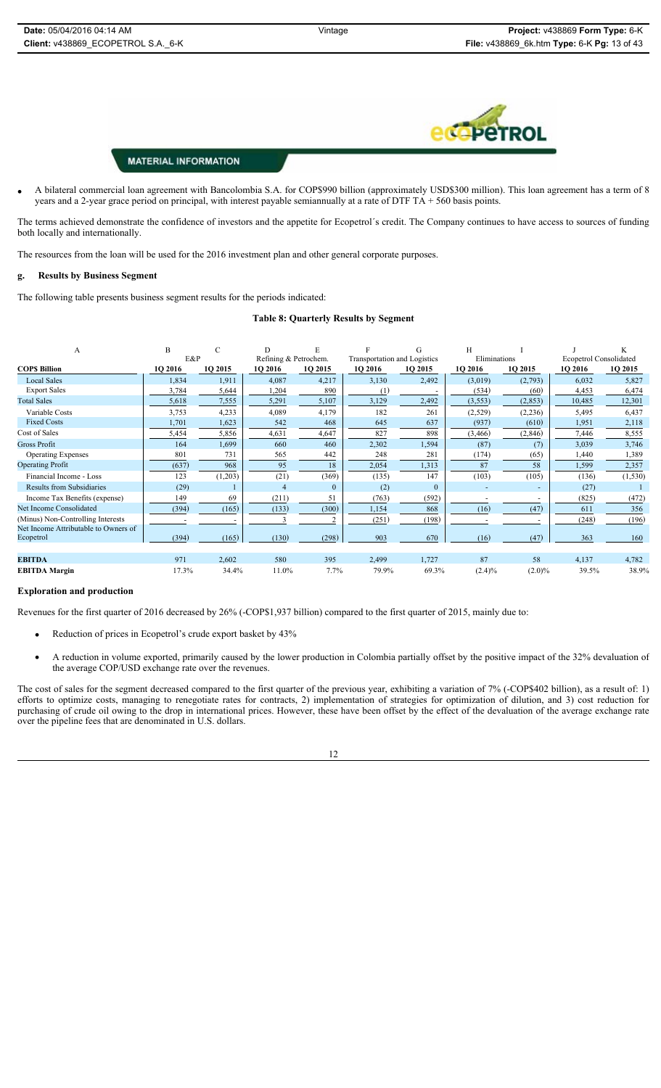

x A bilateral commercial loan agreement with Bancolombia S.A. for COP\$990 billion (approximately USD\$300 million). This loan agreement has a term of 8 years and a 2-year grace period on principal, with interest payable semiannually at a rate of DTF TA + 560 basis points.

The terms achieved demonstrate the confidence of investors and the appetite for Ecopetrol´s credit. The Company continues to have access to sources of funding both locally and internationally.

The resources from the loan will be used for the 2016 investment plan and other general corporate purposes.

#### **g. Results by Business Segment**

The following table presents business segment results for the periods indicated:

#### **Table 8: Quarterly Results by Segment**

| A                                    | B       |         | D                     | F        |                              | G        | H              |           |                               | K        |
|--------------------------------------|---------|---------|-----------------------|----------|------------------------------|----------|----------------|-----------|-------------------------------|----------|
|                                      | E&P     |         | Refining & Petrochem. |          | Transportation and Logistics |          | Eliminations   |           | <b>Ecopetrol Consolidated</b> |          |
| <b>COPS Billion</b>                  | 1Q 2016 | 1Q 2015 | 1Q 2016               | 10 2015  | 10 2016                      | 10 2015  | <b>1O 2016</b> | 1Q 2015   | 1Q 2016                       | 1Q 2015  |
| <b>Local Sales</b>                   | 1,834   | 1,911   | 4,087                 | 4,217    | 3,130                        | 2,492    | (3,019)        | (2,793)   | 6,032                         | 5,827    |
| <b>Export Sales</b>                  | 3,784   | 5,644   | 1,204                 | 890      | (1.                          |          | (534)          | (60)      | 4,453                         | 6,474    |
| <b>Total Sales</b>                   | 5,618   | 7,555   | 5,291                 | 5,107    | 3,129                        | 2,492    | (3, 553)       | (2, 853)  | 10,485                        | 12,301   |
| Variable Costs                       | 3,753   | 4,233   | 4,089                 | 4,179    | 182                          | 261      | (2,529)        | (2,236)   | 5,495                         | 6,437    |
| <b>Fixed Costs</b>                   | 1,701   | 1,623   | 542                   | 468      | 645                          | 637      | (937)          | (610)     | 1,951                         | 2,118    |
| Cost of Sales                        | 5,454   | 5,856   | 4,631                 | 4,647    | 827                          | 898      | (3, 466)       | (2, 846)  | 7,446                         | 8,555    |
| <b>Gross Profit</b>                  | 164     | 1,699   | 660                   | 460      | 2,302                        | 1,594    | (87)           | (7)       | 3,039                         | 3,746    |
| <b>Operating Expenses</b>            | 801     | 731     | 565                   | 442      | 248                          | 281      | (174)          | (65)      | 1,440                         | 1,389    |
| <b>Operating Profit</b>              | (637)   | 968     | 95                    | 18       | 2,054                        | 1,313    | 87             | 58        | 1,599                         | 2,357    |
| Financial Income - Loss              | 123     | (1,203) | (21)                  | (369)    | (135)                        | 147      | (103)          | (105)     | (136)                         | (1, 530) |
| Results from Subsidiaries            | (29)    |         |                       | $\Omega$ | (2)                          | $\theta$ |                |           | (27)                          |          |
| Income Tax Benefits (expense)        | 149     | 69      | (211)                 | 51       | (763)                        | (592)    |                |           | (825)                         | (472)    |
| Net Income Consolidated              | (394)   | (165)   | (133)                 | (300)    | 1,154                        | 868      | (16)           | (47)      | 611                           | 356      |
| (Minus) Non-Controlling Interests    |         |         |                       |          | (251)                        | (198)    |                |           | (248)                         | (196)    |
| Net Income Attributable to Owners of |         |         |                       |          |                              |          |                |           |                               |          |
| Ecopetrol                            | (394)   | (165)   | (130)                 | (298)    | 903                          | 670      | (16)           | (47)      | 363                           | 160      |
|                                      |         |         |                       |          |                              |          |                |           |                               |          |
| <b>EBITDA</b>                        | 971     | 2,602   | 580                   | 395      | 2,499                        | 1,727    | 87             | 58        | 4,137                         | 4,782    |
| <b>EBITDA</b> Margin                 | 17.3%   | 34.4%   | 11.0%                 | 7.7%     | 79.9%                        | 69.3%    | $(2.4)\%$      | $(2.0)\%$ | 39.5%                         | 38.9%    |

#### **Exploration and production**

Revenues for the first quarter of 2016 decreased by 26% (-COP\$1,937 billion) compared to the first quarter of 2015, mainly due to:

- Reduction of prices in Ecopetrol's crude export basket by 43%
- x A reduction in volume exported, primarily caused by the lower production in Colombia partially offset by the positive impact of the 32% devaluation of the average COP/USD exchange rate over the revenues.

The cost of sales for the segment decreased compared to the first quarter of the previous year, exhibiting a variation of 7% (-COP\$402 billion), as a result of: 1) efforts to optimize costs, managing to renegotiate rates for contracts, 2) implementation of strategies for optimization of dilution, and 3) cost reduction for purchasing of crude oil owing to the drop in international prices. However, these have been offset by the effect of the devaluation of the average exchange rate over the pipeline fees that are denominated in U.S. dollars.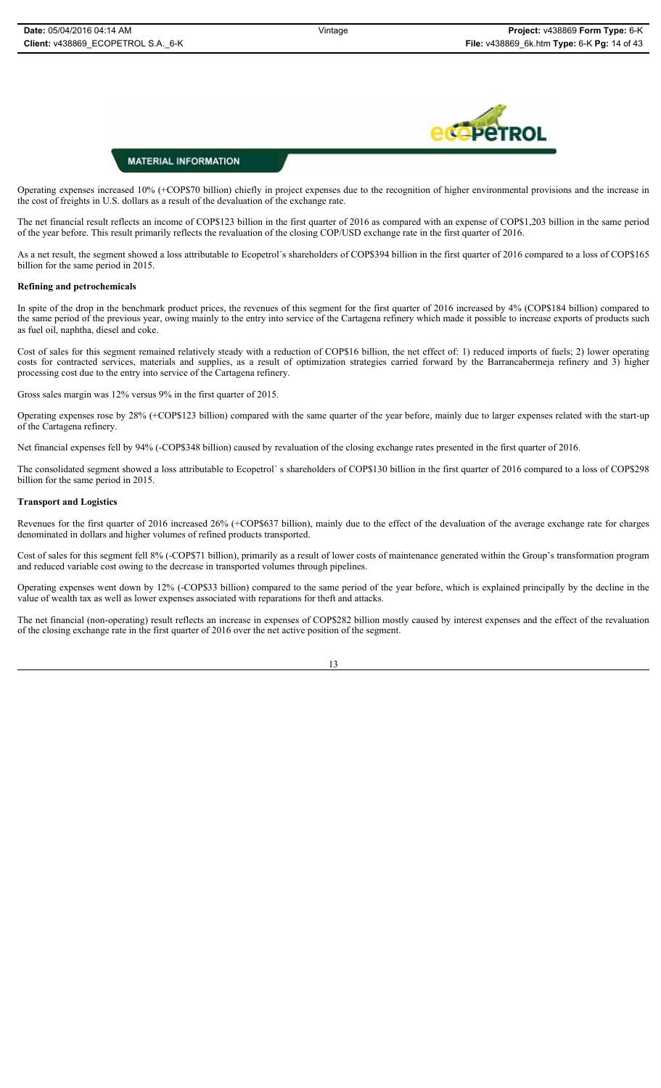

Operating expenses increased 10% (+COP\$70 billion) chiefly in project expenses due to the recognition of higher environmental provisions and the increase in the cost of freights in U.S. dollars as a result of the devaluation of the exchange rate.

The net financial result reflects an income of COP\$123 billion in the first quarter of 2016 as compared with an expense of COP\$1,203 billion in the same period of the year before. This result primarily reflects the revaluation of the closing COP/USD exchange rate in the first quarter of 2016.

As a net result, the segment showed a loss attributable to Ecopetrol´s shareholders of COP\$394 billion in the first quarter of 2016 compared to a loss of COP\$165 billion for the same period in 2015.

#### **Refining and petrochemicals**

In spite of the drop in the benchmark product prices, the revenues of this segment for the first quarter of 2016 increased by 4% (COP\$184 billion) compared to the same period of the previous year, owing mainly to the entry into service of the Cartagena refinery which made it possible to increase exports of products such as fuel oil, naphtha, diesel and coke.

Cost of sales for this segment remained relatively steady with a reduction of COP\$16 billion, the net effect of: 1) reduced imports of fuels; 2) lower operating costs for contracted services, materials and supplies, as a result of optimization strategies carried forward by the Barrancabermeja refinery and 3) higher processing cost due to the entry into service of the Cartagena refinery.

Gross sales margin was 12% versus 9% in the first quarter of 2015.

Operating expenses rose by 28% (+COP\$123 billion) compared with the same quarter of the year before, mainly due to larger expenses related with the start-up of the Cartagena refinery.

Net financial expenses fell by 94% (-COP\$348 billion) caused by revaluation of the closing exchange rates presented in the first quarter of 2016.

The consolidated segment showed a loss attributable to Ecopetrol´ s shareholders of COP\$130 billion in the first quarter of 2016 compared to a loss of COP\$298 billion for the same period in 2015.

#### **Transport and Logistics**

Revenues for the first quarter of 2016 increased 26% (+COP\$637 billion), mainly due to the effect of the devaluation of the average exchange rate for charges denominated in dollars and higher volumes of refined products transported.

Cost of sales for this segment fell 8% (-COP\$71 billion), primarily as a result of lower costs of maintenance generated within the Group's transformation program and reduced variable cost owing to the decrease in transported volumes through pipelines.

Operating expenses went down by 12% (-COP\$33 billion) compared to the same period of the year before, which is explained principally by the decline in the value of wealth tax as well as lower expenses associated with reparations for theft and attacks.

The net financial (non-operating) result reflects an increase in expenses of COP\$282 billion mostly caused by interest expenses and the effect of the revaluation of the closing exchange rate in the first quarter of 2016 over the net active position of the segment.

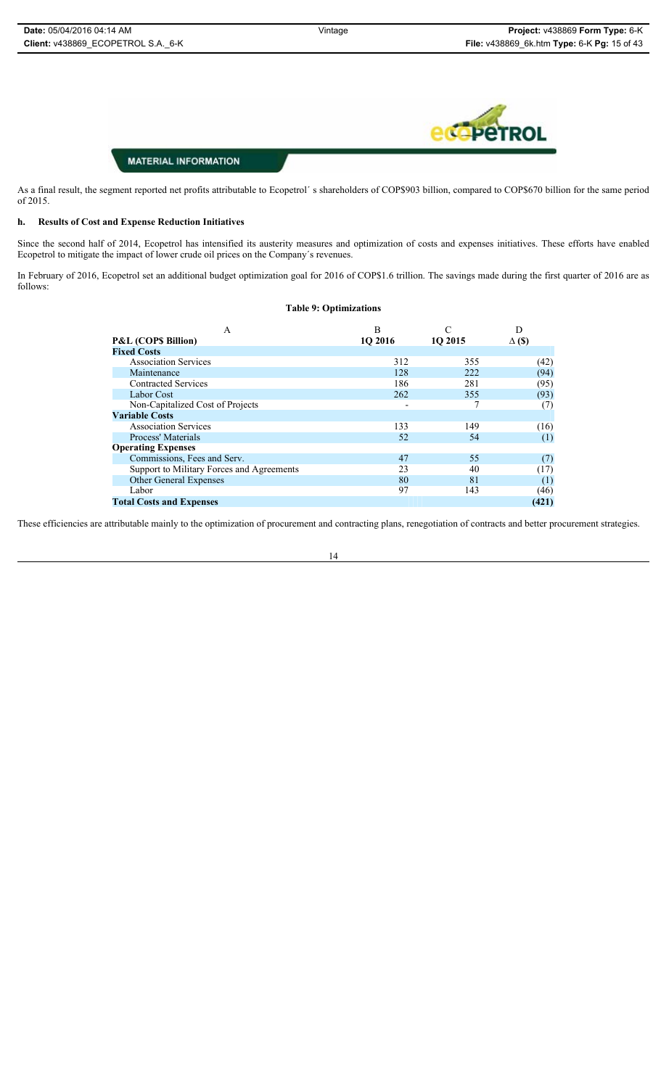

As a final result, the segment reported net profits attributable to Ecopetrol's shareholders of COP\$903 billion, compared to COP\$670 billion for the same period of 2015.

#### **h. Results of Cost and Expense Reduction Initiatives**

Since the second half of 2014, Ecopetrol has intensified its austerity measures and optimization of costs and expenses initiatives. These efforts have enabled Ecopetrol to mitigate the impact of lower crude oil prices on the Company´s revenues.

In February of 2016, Ecopetrol set an additional budget optimization goal for 2016 of COP\$1.6 trillion. The savings made during the first quarter of 2016 are as follows:

#### **Table 9: Optimizations**

| A                                         | B       |         | D                |
|-------------------------------------------|---------|---------|------------------|
| <b>P&amp;L (COPS Billion)</b>             | 10 2016 | 1Q 2015 | $\Delta$ (\$)    |
| <b>Fixed Costs</b>                        |         |         |                  |
| <b>Association Services</b>               | 312     | 355     | (42)             |
| Maintenance                               | 128     | 222     | (94)             |
| <b>Contracted Services</b>                | 186     | 281     | (95)             |
| Labor Cost                                | 262     | 355     | (93)             |
| Non-Capitalized Cost of Projects          |         |         | (7)              |
| <b>Variable Costs</b>                     |         |         |                  |
| <b>Association Services</b>               | 133     | 149     | (16)             |
| Process' Materials                        | 52      | 54      | (1)              |
| <b>Operating Expenses</b>                 |         |         |                  |
| Commissions, Fees and Serv.               | 47      | 55      | (7)              |
| Support to Military Forces and Agreements | 23      | 40      | (17)             |
| <b>Other General Expenses</b>             | 80      | 81      | $\left(1\right)$ |
| Labor                                     | 97      | 143     | (46)             |
| <b>Total Costs and Expenses</b>           |         |         | (421)            |

These efficiencies are attributable mainly to the optimization of procurement and contracting plans, renegotiation of contracts and better procurement strategies.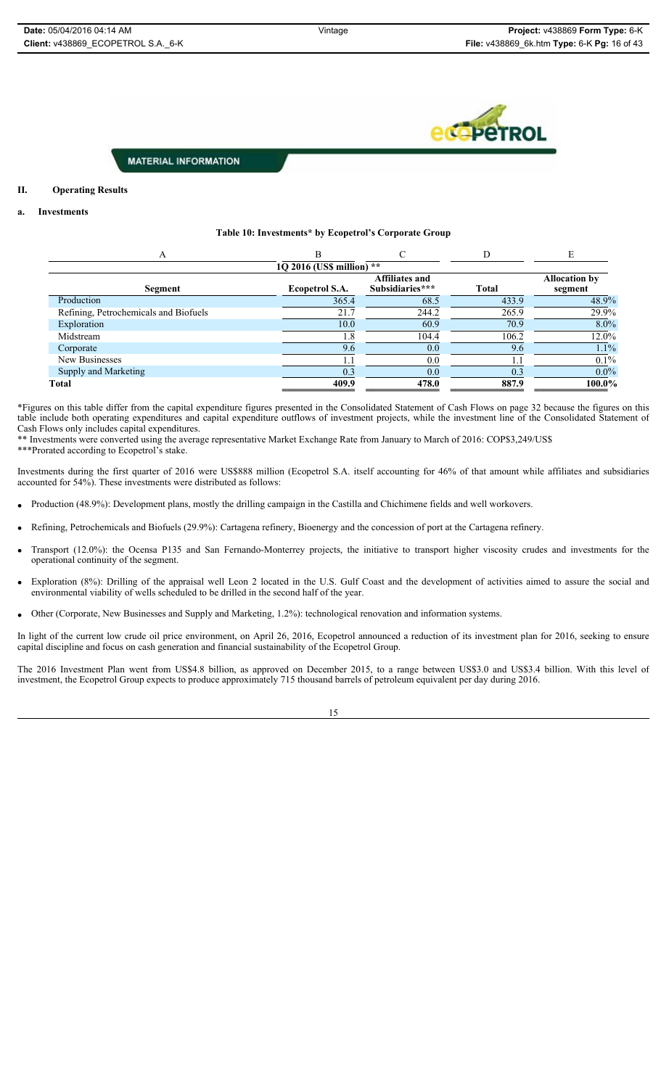**C** PeTROL

#### **MATERIAL INFORMATION**

#### **II. Operating Results**

#### **a. Investments**

#### **Table 10: Investments\* by Ecopetrol's Corporate Group**

|                                       | B                         |                                          |              |                                 |
|---------------------------------------|---------------------------|------------------------------------------|--------------|---------------------------------|
|                                       | 10 2016 (US\$ million) ** |                                          |              |                                 |
| Segment                               | <b>Ecopetrol S.A.</b>     | <b>Affiliates and</b><br>Subsidiaries*** | <b>Total</b> | <b>Allocation by</b><br>segment |
| Production                            | 365.4                     | 68.5                                     | 433.9        | 48.9%                           |
| Refining, Petrochemicals and Biofuels | 21.7                      | 244.2                                    | 265.9        | 29.9%                           |
| Exploration                           | 10.0                      | 60.9                                     | 70.9         | $8.0\%$                         |
| Midstream                             | l.8                       | 104.4                                    | 106.2        | 12.0%                           |
| Corporate                             | 9.6                       | 0.0                                      | 9.6          | 1.1%                            |
| New Businesses                        |                           | 0.0                                      |              | $0.1\%$                         |
| Supply and Marketing                  | 0.3                       | 0.0                                      | 0.3          | $0.0\%$                         |
| <b>Total</b>                          | 409.9                     | 478.0                                    | 887.9        | 100.0%                          |

\*Figures on this table differ from the capital expenditure figures presented in the Consolidated Statement of Cash Flows on page 32 because the figures on this table include both operating expenditures and capital expenditure outflows of investment projects, while the investment line of the Consolidated Statement of Cash Flows only includes capital expenditures.

\*\* Investments were converted using the average representative Market Exchange Rate from January to March of 2016: COP\$3,249/US\$ \*\*\*Prorated according to Ecopetrol's stake.

Investments during the first quarter of 2016 were US\$888 million (Ecopetrol S.A. itself accounting for 46% of that amount while affiliates and subsidiaries accounted for 54%). These investments were distributed as follows:

- Production (48.9%): Development plans, mostly the drilling campaign in the Castilla and Chichimene fields and well workovers.
- x Refining, Petrochemicals and Biofuels (29.9%): Cartagena refinery, Bioenergy and the concession of port at the Cartagena refinery.
- x Transport (12.0%): the Ocensa P135 and San Fernando-Monterrey projects, the initiative to transport higher viscosity crudes and investments for the operational continuity of the segment.
- x Exploration (8%): Drilling of the appraisal well Leon 2 located in the U.S. Gulf Coast and the development of activities aimed to assure the social and environmental viability of wells scheduled to be drilled in the second half of the year.
- Other (Corporate, New Businesses and Supply and Marketing, 1.2%): technological renovation and information systems.

In light of the current low crude oil price environment, on April 26, 2016, Ecopetrol announced a reduction of its investment plan for 2016, seeking to ensure capital discipline and focus on cash generation and financial sustainability of the Ecopetrol Group.

The 2016 Investment Plan went from US\$4.8 billion, as approved on December 2015, to a range between US\$3.0 and US\$3.4 billion. With this level of investment, the Ecopetrol Group expects to produce approximately 715 thousand barrels of petroleum equivalent per day during 2016.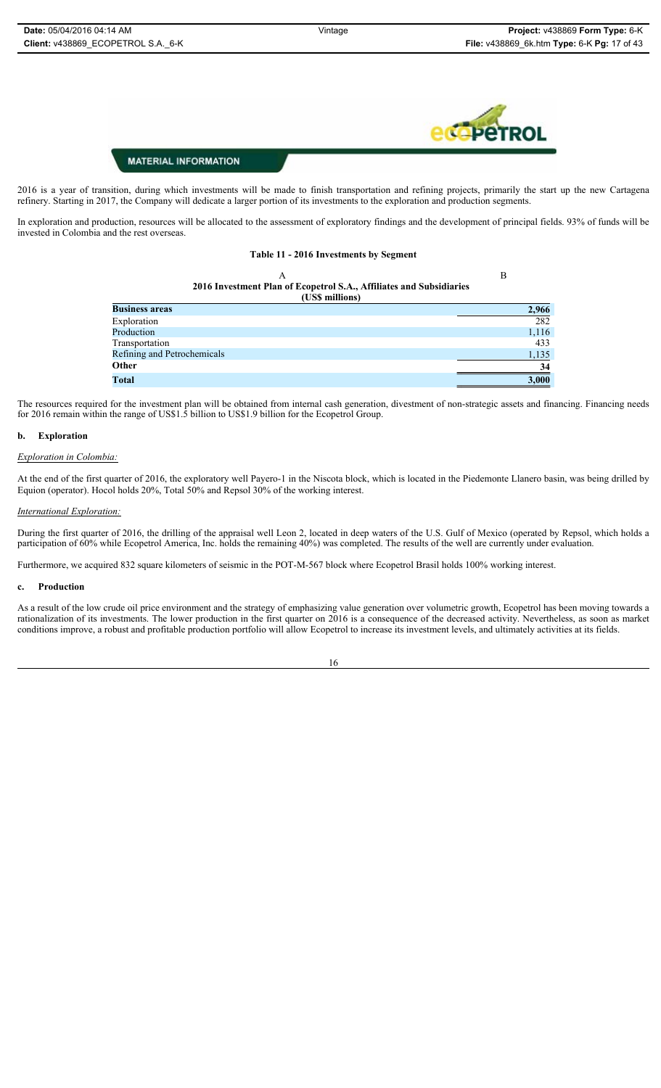

2016 is a year of transition, during which investments will be made to finish transportation and refining projects, primarily the start up the new Cartagena refinery. Starting in 2017, the Company will dedicate a larger portion of its investments to the exploration and production segments.

In exploration and production, resources will be allocated to the assessment of exploratory findings and the development of principal fields. 93% of funds will be invested in Colombia and the rest overseas.

#### **Table 11 - 2016 Investments by Segment**

| А                                                                   | B     |
|---------------------------------------------------------------------|-------|
| 2016 Investment Plan of Ecopetrol S.A., Affiliates and Subsidiaries |       |
| (US\$ millions)                                                     |       |
| <b>Business areas</b>                                               | 2,966 |
| Exploration                                                         | 282   |
| Production                                                          | 1,116 |
| Transportation                                                      | 433   |
| Refining and Petrochemicals                                         | 1,135 |
| Other                                                               | 34    |
| Total                                                               | 3,000 |

The resources required for the investment plan will be obtained from internal cash generation, divestment of non-strategic assets and financing. Financing needs for 2016 remain within the range of US\$1.5 billion to US\$1.9 billion for the Ecopetrol Group.

#### **b. Exploration**

#### *Exploration in Colombia:*

At the end of the first quarter of 2016, the exploratory well Payero-1 in the Niscota block, which is located in the Piedemonte Llanero basin, was being drilled by Equion (operator). Hocol holds 20%, Total 50% and Repsol 30% of the working interest.

#### *International Exploration:*

During the first quarter of 2016, the drilling of the appraisal well Leon 2, located in deep waters of the U.S. Gulf of Mexico (operated by Repsol, which holds a participation of 60% while Ecopetrol America, Inc. holds the remaining 40%) was completed. The results of the well are currently under evaluation.

Furthermore, we acquired 832 square kilometers of seismic in the POT-M-567 block where Ecopetrol Brasil holds 100% working interest.

#### **c. Production**

As a result of the low crude oil price environment and the strategy of emphasizing value generation over volumetric growth, Ecopetrol has been moving towards a rationalization of its investments. The lower production in the first quarter on 2016 is a consequence of the decreased activity. Nevertheless, as soon as market conditions improve, a robust and profitable production portfolio will allow Ecopetrol to increase its investment levels, and ultimately activities at its fields.

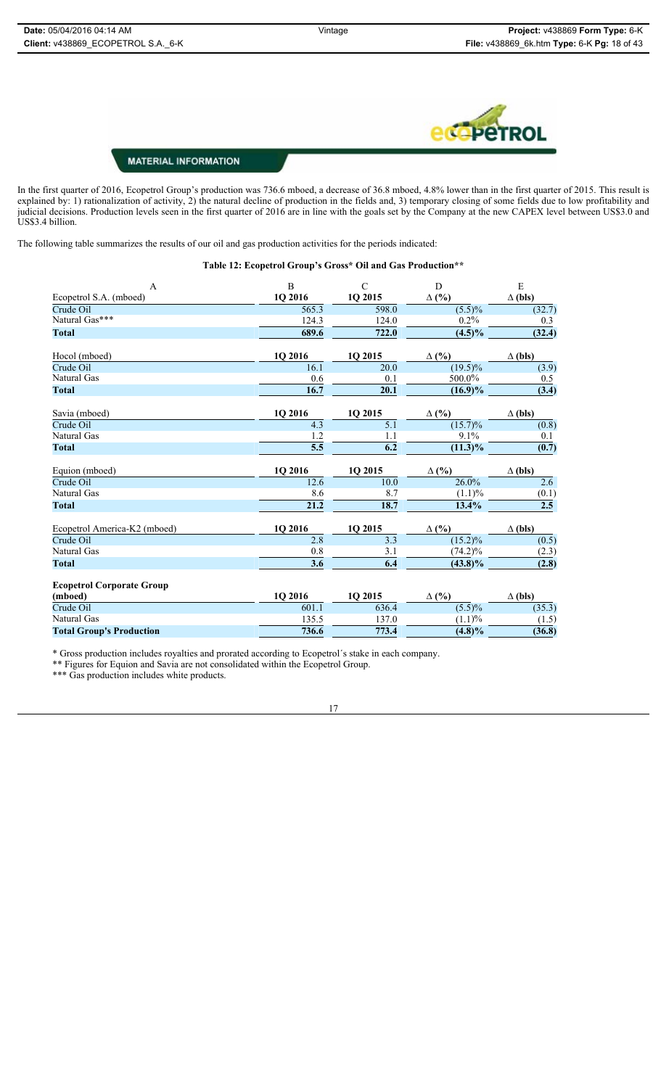

In the first quarter of 2016, Ecopetrol Group's production was 736.6 mboed, a decrease of 36.8 mboed, 4.8% lower than in the first quarter of 2015. This result is explained by: 1) rationalization of activity, 2) the natural decline of production in the fields and, 3) temporary closing of some fields due to low profitability and judicial decisions. Production levels seen in the first quarter of 2016 are in line with the goals set by the Company at the new CAPEX level between US\$3.0 and US\$3.4 billion.

The following table summarizes the results of our oil and gas production activities for the periods indicated:

#### **Table 12: Ecopetrol Group's Gross\* Oil and Gas Production\*\***

| $\mathbf{A}$                     | $\, {\bf B}$      | $\mathsf{C}$     | D                     | ${\bf E}$        |
|----------------------------------|-------------------|------------------|-----------------------|------------------|
| Ecopetrol S.A. (mboed)           | 1Q 2016           | 1Q 2015          | $\Delta$ (%)          | $\Delta$ (bls)   |
| Crude Oil                        | 565.3             | 598.0            | $(5.5)\%$             | (32.7)           |
| Natural Gas***                   | 124.3             | 124.0            | 0.2%                  | 0.3              |
| <b>Total</b>                     | 689.6             | 722.0            | $(4.5)\%$             | (32.4)           |
| Hocol (mboed)                    | 1Q 2016           | 1Q 2015          | $\Delta$ (%)          | $\Delta$ (bls)   |
| Crude Oil                        | 16.1              | 20.0             | $\overline{(19.5)}\%$ | (3.9)            |
| Natural Gas                      | 0.6               | 0.1              | 500.0%                | 0.5              |
| <b>Total</b>                     | 16.7              | 20.1             | $(16.9)\%$            | (3.4)            |
| Savia (mboed)                    | 1Q 2016           | 1Q 2015          | $\Delta$ (%)          | $\Delta$ (bls)   |
| Crude Oil                        | 4.3               | $\overline{5.1}$ | $\overline{(15.7)}\%$ | (0.8)            |
| Natural Gas                      | 1.2               | 1.1              | 9.1%                  | 0.1              |
| <b>Total</b>                     | $\overline{5.5}$  | $\overline{6.2}$ | $(11.3)\%$            | (0.7)            |
| Equion (mboed)                   | 1Q 2016           | 1Q 2015          | $\Delta$ (%)          | $\Delta$ (bls)   |
| Crude Oil                        | 12.6              | 10.0             | 26.0%                 | $\overline{2.6}$ |
| Natural Gas                      | 8.6               | 8.7              | (1.1)%                | (0.1)            |
| <b>Total</b>                     | $\overline{21.2}$ | 18.7             | 13.4%                 | $\overline{2.5}$ |
| Ecopetrol America-K2 (mboed)     | 1Q 2016           | 1Q 2015          | $\Delta$ (%)          | $\Delta$ (bls)   |
| Crude Oil                        | 2.8               | 3.3              | $\overline{(15.2)}\%$ | (0.5)            |
| Natural Gas                      | 0.8               | 3.1              | $(74.2)\%$            | (2.3)            |
| <b>Total</b>                     | 3.6               | $\overline{6.4}$ | $(43.8)\%$            | (2.8)            |
| <b>Ecopetrol Corporate Group</b> |                   |                  |                       |                  |
|                                  |                   |                  | $\Delta$ (%)          | $\Delta$ (bls)   |
| (mboed)                          | 1Q 2016           | 1Q 2015          |                       |                  |
| Crude Oil                        | 601.1             | 636.4            | $\overline{(5.5)}\%$  | (35.3)           |
| Natural Gas                      | 135.5             | 137.0            | (1.1)%                | (1.5)            |

\* Gross production includes royalties and prorated according to Ecopetrol´s stake in each company.

\*\* Figures for Equion and Savia are not consolidated within the Ecopetrol Group.

\*\*\* Gas production includes white products.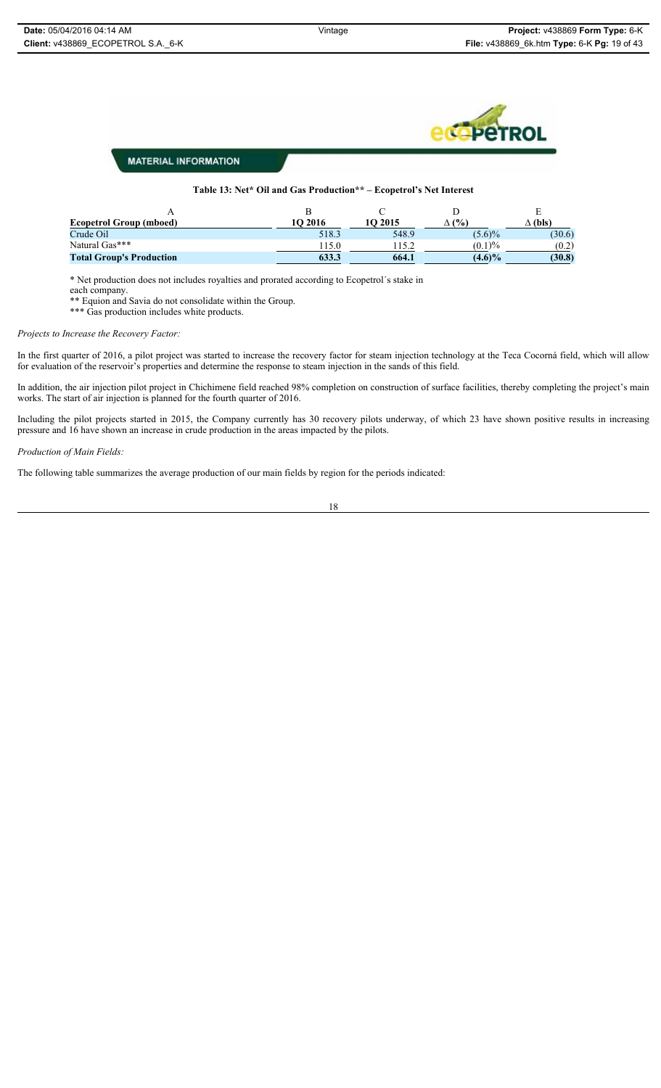## **C**PeTROL

### **MATERIAL INFORMATION**

#### **Table 13: Net\* Oil and Gas Production\*\* – Ecopetrol's Net Interest**

| <b>Ecopetrol Group (mboed)</b>  | <b>1O 2016</b> | 1O 2015 | (%)       | $\Delta$ (bls) |
|---------------------------------|----------------|---------|-----------|----------------|
| Crude Oil                       | 518.3          | 548.9   | $(5.6)\%$ | (30.6)         |
| Natural Gas***                  | 115.0          |         | $(0.1)\%$ | (0.2)          |
| <b>Total Group's Production</b> | 633.3          | 664.1   | $(4.6)\%$ | (30.8)         |

\* Net production does not includes royalties and prorated according to Ecopetrol´s stake in

each company.

\*\* Equion and Savia do not consolidate within the Group. \*\*\* Gas production includes white products.

*Projects to Increase the Recovery Factor:*

In the first quarter of 2016, a pilot project was started to increase the recovery factor for steam injection technology at the Teca Cocorná field, which will allow for evaluation of the reservoir's properties and determine the response to steam injection in the sands of this field.

In addition, the air injection pilot project in Chichimene field reached 98% completion on construction of surface facilities, thereby completing the project's main works. The start of air injection is planned for the fourth quarter of 2016.

Including the pilot projects started in 2015, the Company currently has 30 recovery pilots underway, of which 23 have shown positive results in increasing pressure and 16 have shown an increase in crude production in the areas impacted by the pilots.

*Production of Main Fields:*

The following table summarizes the average production of our main fields by region for the periods indicated: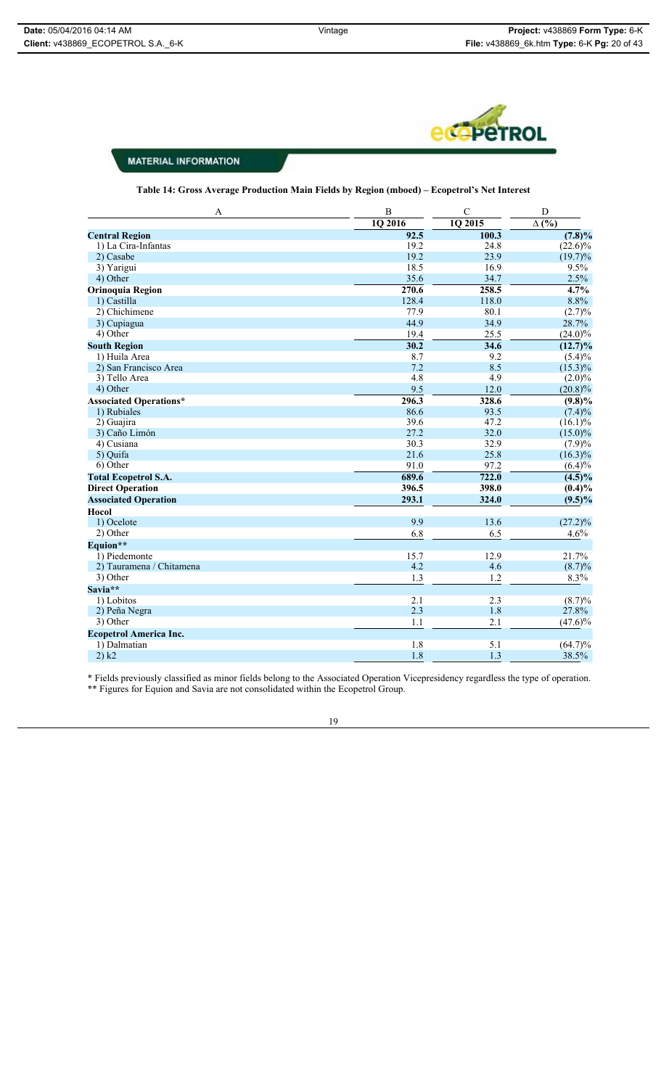

**Table 14: Gross Average Production Main Fields by Region (mboed) – Ecopetrol's Net Interest**

| 1Q 2015<br>$\Delta$ (%)<br>1Q 2016<br>92.5<br>100.3<br>$(7.8)\%$<br><b>Central Region</b><br>19.2<br>24.8<br>$(22.6)\%$<br>1) La Cira-Infantas<br>19.2<br>23.9<br>$(19.7)\%$<br>2) Casabe<br>18.5<br>16.9<br>9.5%<br>3) Yarigui<br>35.6<br>34.7<br>2.5%<br>4) Other<br>$\frac{4.7\%}{ }$<br>$\overline{270.6}$<br>258.5<br><b>Orinoquia Region</b><br>8.8%<br>128.4<br>1) Castilla<br>118.0<br>2) Chichimene<br>77.9<br>80.1<br>(2.7)%<br>44.9<br>34.9<br>28.7%<br>3) Cupiagua<br>4) Other<br>19.4<br>25.5<br>$(24.0)\%$<br>30.2<br>34.6<br><b>South Region</b><br>$(12.7)\%$<br>1) Huila Area<br>8.7<br>9.2<br>$(5.4)\%$<br>7.2<br>2) San Francisco Area<br>8.5<br>$(15.3)\%$<br>4.8<br>3) Tello Area<br>4.9<br>4) Other<br>9.5<br>12.0<br>$(20.8)\%$<br>296.3<br><b>Associated Operations*</b><br>328.6<br>$(9.8)\%$<br>86.6<br>93.5<br>1) Rubiales<br>$(7.4)\%$<br>39.6<br>47.2<br>2) Guajira<br>$(16.1)\%$<br>27.2<br>32.0<br>3) Caño Limón<br>$(15.0)\%$<br>30.3<br>32.9<br>4) Cusiana<br>(7.9)%<br>25.8<br>5) Quifa<br>21.6<br>$(16.3)\%$<br>6) Other<br>97.2<br>$(6.4)\%$<br>91.0<br>689.6<br>722.0<br><b>Total Ecopetrol S.A.</b><br>$(4.5)\%$<br><b>Direct Operation</b><br>396.5<br>398.0<br>$(0.4)\%$<br><b>Associated Operation</b><br>293.1<br>324.0<br>$(9.5)\%$<br>Hocol<br>9.9<br>13.6<br>1) Ocelote<br>$(27.2)\%$<br>2) Other<br>6.8<br>6.5<br>4.6%<br>Equion**<br>1) Piedemonte<br>15.7<br>12.9<br>21.7%<br>4.2<br>4.6<br>$(8.7)\%$<br>2) Tauramena / Chitamena<br>3) Other<br>1.3<br>1.2<br>8.3%<br>Savia**<br>2.1<br>2.3<br>1) Lobitos<br>$(8.7)\%$<br>2.3<br>27.8%<br>1.8<br>2) Peña Negra<br>3) Other<br>$(47.6)\%$<br>1.1<br>2.1<br><b>Ecopetrol America Inc.</b><br>1) Dalmatian<br>1.8<br>5.1<br>$(64.7)\%$ | A     | $\bf{B}$ | $\mathbf C$ | $\overline{D}$ |
|--------------------------------------------------------------------------------------------------------------------------------------------------------------------------------------------------------------------------------------------------------------------------------------------------------------------------------------------------------------------------------------------------------------------------------------------------------------------------------------------------------------------------------------------------------------------------------------------------------------------------------------------------------------------------------------------------------------------------------------------------------------------------------------------------------------------------------------------------------------------------------------------------------------------------------------------------------------------------------------------------------------------------------------------------------------------------------------------------------------------------------------------------------------------------------------------------------------------------------------------------------------------------------------------------------------------------------------------------------------------------------------------------------------------------------------------------------------------------------------------------------------------------------------------------------------------------------------------------------------------------------------------------------------------------------------------------------------------------------------|-------|----------|-------------|----------------|
|                                                                                                                                                                                                                                                                                                                                                                                                                                                                                                                                                                                                                                                                                                                                                                                                                                                                                                                                                                                                                                                                                                                                                                                                                                                                                                                                                                                                                                                                                                                                                                                                                                                                                                                                      |       |          |             |                |
|                                                                                                                                                                                                                                                                                                                                                                                                                                                                                                                                                                                                                                                                                                                                                                                                                                                                                                                                                                                                                                                                                                                                                                                                                                                                                                                                                                                                                                                                                                                                                                                                                                                                                                                                      |       |          |             |                |
|                                                                                                                                                                                                                                                                                                                                                                                                                                                                                                                                                                                                                                                                                                                                                                                                                                                                                                                                                                                                                                                                                                                                                                                                                                                                                                                                                                                                                                                                                                                                                                                                                                                                                                                                      |       |          |             |                |
|                                                                                                                                                                                                                                                                                                                                                                                                                                                                                                                                                                                                                                                                                                                                                                                                                                                                                                                                                                                                                                                                                                                                                                                                                                                                                                                                                                                                                                                                                                                                                                                                                                                                                                                                      |       |          |             |                |
|                                                                                                                                                                                                                                                                                                                                                                                                                                                                                                                                                                                                                                                                                                                                                                                                                                                                                                                                                                                                                                                                                                                                                                                                                                                                                                                                                                                                                                                                                                                                                                                                                                                                                                                                      |       |          |             |                |
|                                                                                                                                                                                                                                                                                                                                                                                                                                                                                                                                                                                                                                                                                                                                                                                                                                                                                                                                                                                                                                                                                                                                                                                                                                                                                                                                                                                                                                                                                                                                                                                                                                                                                                                                      |       |          |             |                |
|                                                                                                                                                                                                                                                                                                                                                                                                                                                                                                                                                                                                                                                                                                                                                                                                                                                                                                                                                                                                                                                                                                                                                                                                                                                                                                                                                                                                                                                                                                                                                                                                                                                                                                                                      |       |          |             |                |
|                                                                                                                                                                                                                                                                                                                                                                                                                                                                                                                                                                                                                                                                                                                                                                                                                                                                                                                                                                                                                                                                                                                                                                                                                                                                                                                                                                                                                                                                                                                                                                                                                                                                                                                                      |       |          |             |                |
|                                                                                                                                                                                                                                                                                                                                                                                                                                                                                                                                                                                                                                                                                                                                                                                                                                                                                                                                                                                                                                                                                                                                                                                                                                                                                                                                                                                                                                                                                                                                                                                                                                                                                                                                      |       |          |             |                |
|                                                                                                                                                                                                                                                                                                                                                                                                                                                                                                                                                                                                                                                                                                                                                                                                                                                                                                                                                                                                                                                                                                                                                                                                                                                                                                                                                                                                                                                                                                                                                                                                                                                                                                                                      |       |          |             |                |
|                                                                                                                                                                                                                                                                                                                                                                                                                                                                                                                                                                                                                                                                                                                                                                                                                                                                                                                                                                                                                                                                                                                                                                                                                                                                                                                                                                                                                                                                                                                                                                                                                                                                                                                                      |       |          |             |                |
|                                                                                                                                                                                                                                                                                                                                                                                                                                                                                                                                                                                                                                                                                                                                                                                                                                                                                                                                                                                                                                                                                                                                                                                                                                                                                                                                                                                                                                                                                                                                                                                                                                                                                                                                      |       |          |             |                |
|                                                                                                                                                                                                                                                                                                                                                                                                                                                                                                                                                                                                                                                                                                                                                                                                                                                                                                                                                                                                                                                                                                                                                                                                                                                                                                                                                                                                                                                                                                                                                                                                                                                                                                                                      |       |          |             |                |
|                                                                                                                                                                                                                                                                                                                                                                                                                                                                                                                                                                                                                                                                                                                                                                                                                                                                                                                                                                                                                                                                                                                                                                                                                                                                                                                                                                                                                                                                                                                                                                                                                                                                                                                                      |       |          |             |                |
|                                                                                                                                                                                                                                                                                                                                                                                                                                                                                                                                                                                                                                                                                                                                                                                                                                                                                                                                                                                                                                                                                                                                                                                                                                                                                                                                                                                                                                                                                                                                                                                                                                                                                                                                      |       |          |             | $(2.0)\%$      |
|                                                                                                                                                                                                                                                                                                                                                                                                                                                                                                                                                                                                                                                                                                                                                                                                                                                                                                                                                                                                                                                                                                                                                                                                                                                                                                                                                                                                                                                                                                                                                                                                                                                                                                                                      |       |          |             |                |
|                                                                                                                                                                                                                                                                                                                                                                                                                                                                                                                                                                                                                                                                                                                                                                                                                                                                                                                                                                                                                                                                                                                                                                                                                                                                                                                                                                                                                                                                                                                                                                                                                                                                                                                                      |       |          |             |                |
|                                                                                                                                                                                                                                                                                                                                                                                                                                                                                                                                                                                                                                                                                                                                                                                                                                                                                                                                                                                                                                                                                                                                                                                                                                                                                                                                                                                                                                                                                                                                                                                                                                                                                                                                      |       |          |             |                |
|                                                                                                                                                                                                                                                                                                                                                                                                                                                                                                                                                                                                                                                                                                                                                                                                                                                                                                                                                                                                                                                                                                                                                                                                                                                                                                                                                                                                                                                                                                                                                                                                                                                                                                                                      |       |          |             |                |
|                                                                                                                                                                                                                                                                                                                                                                                                                                                                                                                                                                                                                                                                                                                                                                                                                                                                                                                                                                                                                                                                                                                                                                                                                                                                                                                                                                                                                                                                                                                                                                                                                                                                                                                                      |       |          |             |                |
|                                                                                                                                                                                                                                                                                                                                                                                                                                                                                                                                                                                                                                                                                                                                                                                                                                                                                                                                                                                                                                                                                                                                                                                                                                                                                                                                                                                                                                                                                                                                                                                                                                                                                                                                      |       |          |             |                |
|                                                                                                                                                                                                                                                                                                                                                                                                                                                                                                                                                                                                                                                                                                                                                                                                                                                                                                                                                                                                                                                                                                                                                                                                                                                                                                                                                                                                                                                                                                                                                                                                                                                                                                                                      |       |          |             |                |
|                                                                                                                                                                                                                                                                                                                                                                                                                                                                                                                                                                                                                                                                                                                                                                                                                                                                                                                                                                                                                                                                                                                                                                                                                                                                                                                                                                                                                                                                                                                                                                                                                                                                                                                                      |       |          |             |                |
|                                                                                                                                                                                                                                                                                                                                                                                                                                                                                                                                                                                                                                                                                                                                                                                                                                                                                                                                                                                                                                                                                                                                                                                                                                                                                                                                                                                                                                                                                                                                                                                                                                                                                                                                      |       |          |             |                |
|                                                                                                                                                                                                                                                                                                                                                                                                                                                                                                                                                                                                                                                                                                                                                                                                                                                                                                                                                                                                                                                                                                                                                                                                                                                                                                                                                                                                                                                                                                                                                                                                                                                                                                                                      |       |          |             |                |
|                                                                                                                                                                                                                                                                                                                                                                                                                                                                                                                                                                                                                                                                                                                                                                                                                                                                                                                                                                                                                                                                                                                                                                                                                                                                                                                                                                                                                                                                                                                                                                                                                                                                                                                                      |       |          |             |                |
|                                                                                                                                                                                                                                                                                                                                                                                                                                                                                                                                                                                                                                                                                                                                                                                                                                                                                                                                                                                                                                                                                                                                                                                                                                                                                                                                                                                                                                                                                                                                                                                                                                                                                                                                      |       |          |             |                |
|                                                                                                                                                                                                                                                                                                                                                                                                                                                                                                                                                                                                                                                                                                                                                                                                                                                                                                                                                                                                                                                                                                                                                                                                                                                                                                                                                                                                                                                                                                                                                                                                                                                                                                                                      |       |          |             |                |
|                                                                                                                                                                                                                                                                                                                                                                                                                                                                                                                                                                                                                                                                                                                                                                                                                                                                                                                                                                                                                                                                                                                                                                                                                                                                                                                                                                                                                                                                                                                                                                                                                                                                                                                                      |       |          |             |                |
|                                                                                                                                                                                                                                                                                                                                                                                                                                                                                                                                                                                                                                                                                                                                                                                                                                                                                                                                                                                                                                                                                                                                                                                                                                                                                                                                                                                                                                                                                                                                                                                                                                                                                                                                      |       |          |             |                |
|                                                                                                                                                                                                                                                                                                                                                                                                                                                                                                                                                                                                                                                                                                                                                                                                                                                                                                                                                                                                                                                                                                                                                                                                                                                                                                                                                                                                                                                                                                                                                                                                                                                                                                                                      |       |          |             |                |
|                                                                                                                                                                                                                                                                                                                                                                                                                                                                                                                                                                                                                                                                                                                                                                                                                                                                                                                                                                                                                                                                                                                                                                                                                                                                                                                                                                                                                                                                                                                                                                                                                                                                                                                                      |       |          |             |                |
|                                                                                                                                                                                                                                                                                                                                                                                                                                                                                                                                                                                                                                                                                                                                                                                                                                                                                                                                                                                                                                                                                                                                                                                                                                                                                                                                                                                                                                                                                                                                                                                                                                                                                                                                      |       |          |             |                |
|                                                                                                                                                                                                                                                                                                                                                                                                                                                                                                                                                                                                                                                                                                                                                                                                                                                                                                                                                                                                                                                                                                                                                                                                                                                                                                                                                                                                                                                                                                                                                                                                                                                                                                                                      |       |          |             |                |
|                                                                                                                                                                                                                                                                                                                                                                                                                                                                                                                                                                                                                                                                                                                                                                                                                                                                                                                                                                                                                                                                                                                                                                                                                                                                                                                                                                                                                                                                                                                                                                                                                                                                                                                                      |       |          |             |                |
|                                                                                                                                                                                                                                                                                                                                                                                                                                                                                                                                                                                                                                                                                                                                                                                                                                                                                                                                                                                                                                                                                                                                                                                                                                                                                                                                                                                                                                                                                                                                                                                                                                                                                                                                      |       |          |             |                |
|                                                                                                                                                                                                                                                                                                                                                                                                                                                                                                                                                                                                                                                                                                                                                                                                                                                                                                                                                                                                                                                                                                                                                                                                                                                                                                                                                                                                                                                                                                                                                                                                                                                                                                                                      |       |          |             |                |
|                                                                                                                                                                                                                                                                                                                                                                                                                                                                                                                                                                                                                                                                                                                                                                                                                                                                                                                                                                                                                                                                                                                                                                                                                                                                                                                                                                                                                                                                                                                                                                                                                                                                                                                                      |       |          |             |                |
|                                                                                                                                                                                                                                                                                                                                                                                                                                                                                                                                                                                                                                                                                                                                                                                                                                                                                                                                                                                                                                                                                                                                                                                                                                                                                                                                                                                                                                                                                                                                                                                                                                                                                                                                      |       |          |             |                |
|                                                                                                                                                                                                                                                                                                                                                                                                                                                                                                                                                                                                                                                                                                                                                                                                                                                                                                                                                                                                                                                                                                                                                                                                                                                                                                                                                                                                                                                                                                                                                                                                                                                                                                                                      | 2) k2 | 1.8      | 1.3         | 38.5%          |

\* Fields previously classified as minor fields belong to the Associated Operation Vicepresidency regardless the type of operation. \*\* Figures for Equion and Savia are not consolidated within the Ecopetrol Group.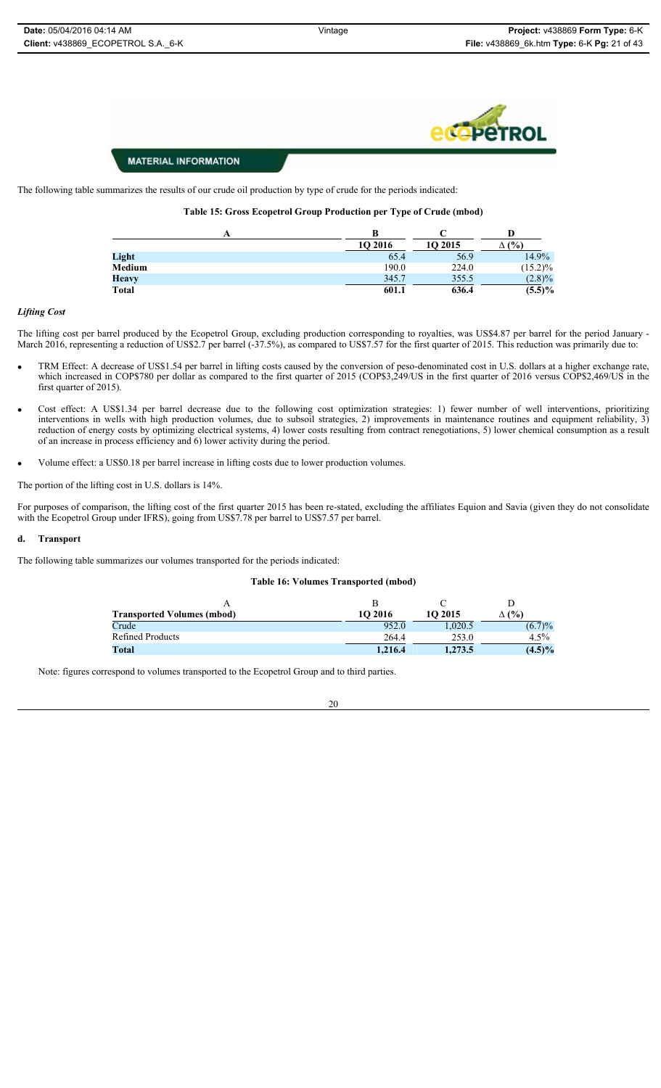The following table summarizes the results of our crude oil production by type of crude for the periods indicated:

#### **Table 15: Gross Ecopetrol Group Production per Type of Crude (mbod)**

|               | В              |         |              |
|---------------|----------------|---------|--------------|
|               | <b>10 2016</b> | 10 2015 | $\Delta$ (%) |
| Light         | 65.4           | 56.9    | 14.9%        |
| <b>Medium</b> | 190.0          | 224.0   | $(15.2)\%$   |
| <b>Heavy</b>  | 345.7          | 355.5   | $(2.8)\%$    |
| <b>Total</b>  | 601.1          | 636.4   | $(5.5)\%$    |

#### *Lifting Cost*

The lifting cost per barrel produced by the Ecopetrol Group, excluding production corresponding to royalties, was US\$4.87 per barrel for the period January - March 2016, representing a reduction of US\$2.7 per barrel (-37.5%), as compared to US\$7.57 for the first quarter of 2015. This reduction was primarily due to:

- TRM Effect: A decrease of US\$1.54 per barrel in lifting costs caused by the conversion of peso-denominated cost in U.S. dollars at a higher exchange rate, which increased in COP\$780 per dollar as compared to the first quarter of 2015 (COP\$3,249/US in the first quarter of 2016 versus COP\$2,469/US in the first quarter of 2015).
- Cost effect: A US\$1.34 per barrel decrease due to the following cost optimization strategies: 1) fewer number of well interventions, prioritizing interventions in wells with high production volumes, due to subsoil strategies, 2) improvements in maintenance routines and equipment reliability, 3) reduction of energy costs by optimizing electrical systems, 4) lower costs resulting from contract renegotiations, 5) lower chemical consumption as a result of an increase in process efficiency and 6) lower activity during the period.
- Volume effect: a US\$0.18 per barrel increase in lifting costs due to lower production volumes.

The portion of the lifting cost in U.S. dollars is 14%.

For purposes of comparison, the lifting cost of the first quarter 2015 has been re-stated, excluding the affiliates Equion and Savia (given they do not consolidate with the Ecopetrol Group under IFRS), going from US\$7.78 per barrel to US\$7.57 per barrel.

#### **d. Transport**

The following table summarizes our volumes transported for the periods indicated:

#### **Table 16: Volumes Transported (mbod)**

| <b>Transported Volumes (mbod)</b> | 10 2016 | 10 2015 | $\Delta$ (%) |
|-----------------------------------|---------|---------|--------------|
| Crude                             | 952.0   | 0.020.5 | (6.7)%       |
| <b>Refined Products</b>           | 264.4   | 253.0   | 4.5%         |
| Total                             | 1.216.4 | 1.273.5 | $(4.5)\%$    |

Note: figures correspond to volumes transported to the Ecopetrol Group and to third parties.

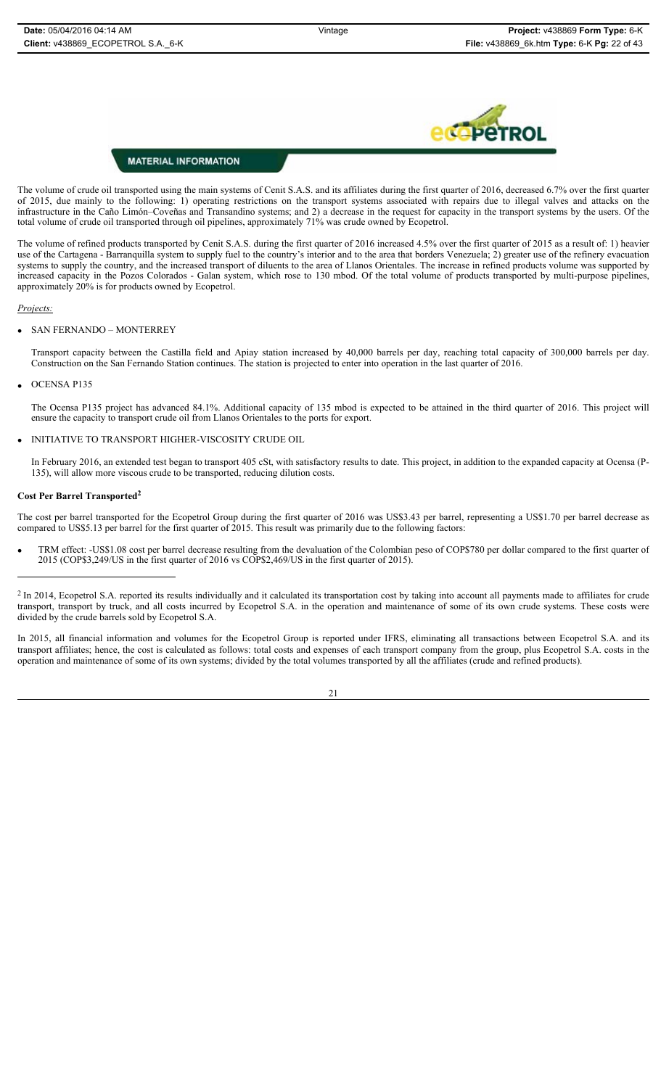# ÞЕ

#### **MATERIAL INFORMATION**

The volume of crude oil transported using the main systems of Cenit S.A.S. and its affiliates during the first quarter of 2016, decreased 6.7% over the first quarter of 2015, due mainly to the following: 1) operating restrictions on the transport systems associated with repairs due to illegal valves and attacks on the infrastructure in the Caño Limón–Coveñas and Transandino systems; and 2) a decrease in the request for capacity in the transport systems by the users. Of the total volume of crude oil transported through oil pipelines, approximately 71% was crude owned by Ecopetrol.

The volume of refined products transported by Cenit S.A.S. during the first quarter of 2016 increased 4.5% over the first quarter of 2015 as a result of: 1) heavier use of the Cartagena - Barranquilla system to supply fuel to the country's interior and to the area that borders Venezuela; 2) greater use of the refinery evacuation systems to supply the country, and the increased transport of diluents to the area of Llanos Orientales. The increase in refined products volume was supported by increased capacity in the Pozos Colorados - Galan system, which rose to 130 mbod. Of the total volume of products transported by multi-purpose pipelines, approximately 20% is for products owned by Ecopetrol.

#### *Projects:*

#### x SAN FERNANDO – MONTERREY

Transport capacity between the Castilla field and Apiay station increased by 40,000 barrels per day, reaching total capacity of 300,000 barrels per day. Construction on the San Fernando Station continues. The station is projected to enter into operation in the last quarter of 2016.

#### OCENSA P135

The Ocensa P135 project has advanced 84.1%. Additional capacity of 135 mbod is expected to be attained in the third quarter of 2016. This project will ensure the capacity to transport crude oil from Llanos Orientales to the ports for export.

x INITIATIVE TO TRANSPORT HIGHER-VISCOSITY CRUDE OIL

In February 2016, an extended test began to transport 405 cSt, with satisfactory results to date. This project, in addition to the expanded capacity at Ocensa (P-135), will allow more viscous crude to be transported, reducing dilution costs.

#### **Cost Per Barrel Transported2**

The cost per barrel transported for the Ecopetrol Group during the first quarter of 2016 was US\$3.43 per barrel, representing a US\$1.70 per barrel decrease as compared to US\$5.13 per barrel for the first quarter of 2015. This result was primarily due to the following factors:

TRM effect: -US\$1.08 cost per barrel decrease resulting from the devaluation of the Colombian peso of COP\$780 per dollar compared to the first quarter of 2015 (COP\$3,249/US in the first quarter of 2016 vs COP\$2,469/US in the first quarter of 2015).

<sup>2</sup> In 2014, Ecopetrol S.A. reported its results individually and it calculated its transportation cost by taking into account all payments made to affiliates for crude transport, transport by truck, and all costs incurred by Ecopetrol S.A. in the operation and maintenance of some of its own crude systems. These costs were divided by the crude barrels sold by Ecopetrol S.A.

In 2015, all financial information and volumes for the Ecopetrol Group is reported under IFRS, eliminating all transactions between Ecopetrol S.A. and its transport affiliates; hence, the cost is calculated as follows: total costs and expenses of each transport company from the group, plus Ecopetrol S.A. costs in the operation and maintenance of some of its own systems; divided by the total volumes transported by all the affiliates (crude and refined products).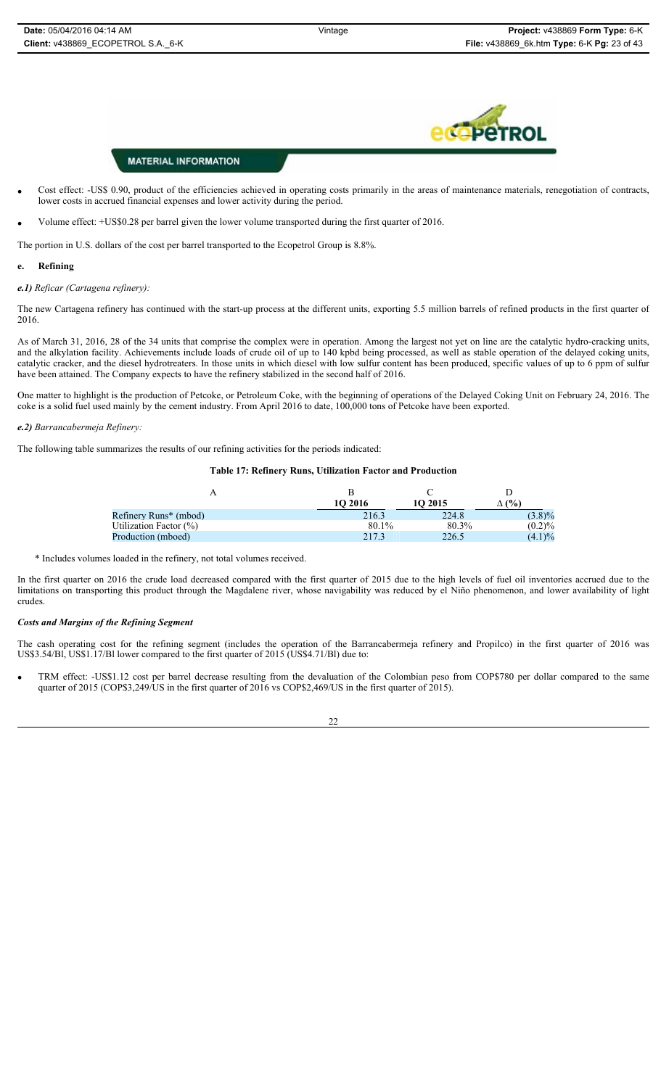- Cost effect: -US\$ 0.90, product of the efficiencies achieved in operating costs primarily in the areas of maintenance materials, renegotiation of contracts, lower costs in accrued financial expenses and lower activity during the period.
- Volume effect: +US\$0.28 per barrel given the lower volume transported during the first quarter of 2016.

The portion in U.S. dollars of the cost per barrel transported to the Ecopetrol Group is 8.8%.

#### **e. Refining**

#### *e.1) Reficar (Cartagena refinery):*

The new Cartagena refinery has continued with the start-up process at the different units, exporting 5.5 million barrels of refined products in the first quarter of 2016.

As of March 31, 2016, 28 of the 34 units that comprise the complex were in operation. Among the largest not yet on line are the catalytic hydro-cracking units, and the alkylation facility. Achievements include loads of crude oil of up to 140 kpbd being processed, as well as stable operation of the delayed coking units, catalytic cracker, and the diesel hydrotreaters. In those units in which diesel with low sulfur content has been produced, specific values of up to 6 ppm of sulfur have been attained. The Company expects to have the refinery stabilized in the second half of 2016.

One matter to highlight is the production of Petcoke, or Petroleum Coke, with the beginning of operations of the Delayed Coking Unit on February 24, 2016. The coke is a solid fuel used mainly by the cement industry. From April 2016 to date, 100,000 tons of Petcoke have been exported.

#### *e.2) Barrancabermeja Refinery:*

The following table summarizes the results of our refining activities for the periods indicated:

#### **Table 17: Refinery Runs, Utilization Factor and Production**

|                           | 10 2016 | 10 2015 | $\Delta$ (%) |
|---------------------------|---------|---------|--------------|
| Refinery Runs* (mbod)     | 216.3   | 224.8   | $(3.8)\%$    |
| Utilization Factor $(\%)$ | 80.1%   | 80.3%   | (0.2)%       |
| Production (mboed)        | 217.3   | 226.5   | $(4.1)\%$    |

\* Includes volumes loaded in the refinery, not total volumes received.

In the first quarter on 2016 the crude load decreased compared with the first quarter of 2015 due to the high levels of fuel oil inventories accrued due to the limitations on transporting this product through the Magdalene river, whose navigability was reduced by el Niño phenomenon, and lower availability of light crudes.

#### *Costs and Margins of the Refining Segment*

The cash operating cost for the refining segment (includes the operation of the Barrancabermeja refinery and Propilco) in the first quarter of 2016 was US\$3.54/Bl, US\$1.17/Bl lower compared to the first quarter of 2015 (US\$4.71/Bl) due to:

TRM effect: -US\$1.12 cost per barrel decrease resulting from the devaluation of the Colombian peso from COP\$780 per dollar compared to the same quarter of 2015 (COP\$3,249/US in the first quarter of 2016 vs COP\$2,469/US in the first quarter of 2015).

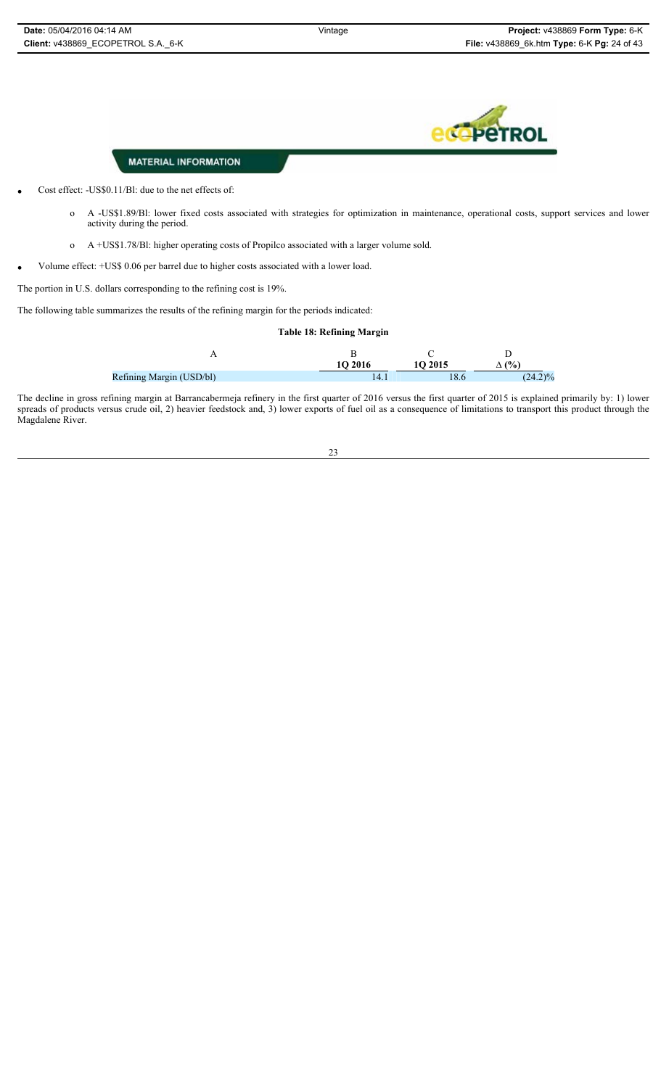

- Cost effect: -US\$0.11/Bl: due to the net effects of:
	- o A -US\$1.89/Bl: lower fixed costs associated with strategies for optimization in maintenance, operational costs, support services and lower activity during the period.
	- o A +US\$1.78/Bl: higher operating costs of Propilco associated with a larger volume sold.
- x Volume effect: +US\$ 0.06 per barrel due to higher costs associated with a lower load.

The portion in U.S. dollars corresponding to the refining cost is 19%.

The following table summarizes the results of the refining margin for the periods indicated:

#### **Table 18: Refining Margin**

|                          | 10 2016 | 10 2015 | (%)        |
|--------------------------|---------|---------|------------|
| Refining Margin (USD/bl) | 14.1    | 8.6     | $(24.2)\%$ |

The decline in gross refining margin at Barrancabermeja refinery in the first quarter of 2016 versus the first quarter of 2015 is explained primarily by: 1) lower spreads of products versus crude oil, 2) heavier feedstock and, 3) lower exports of fuel oil as a consequence of limitations to transport this product through the Magdalene River.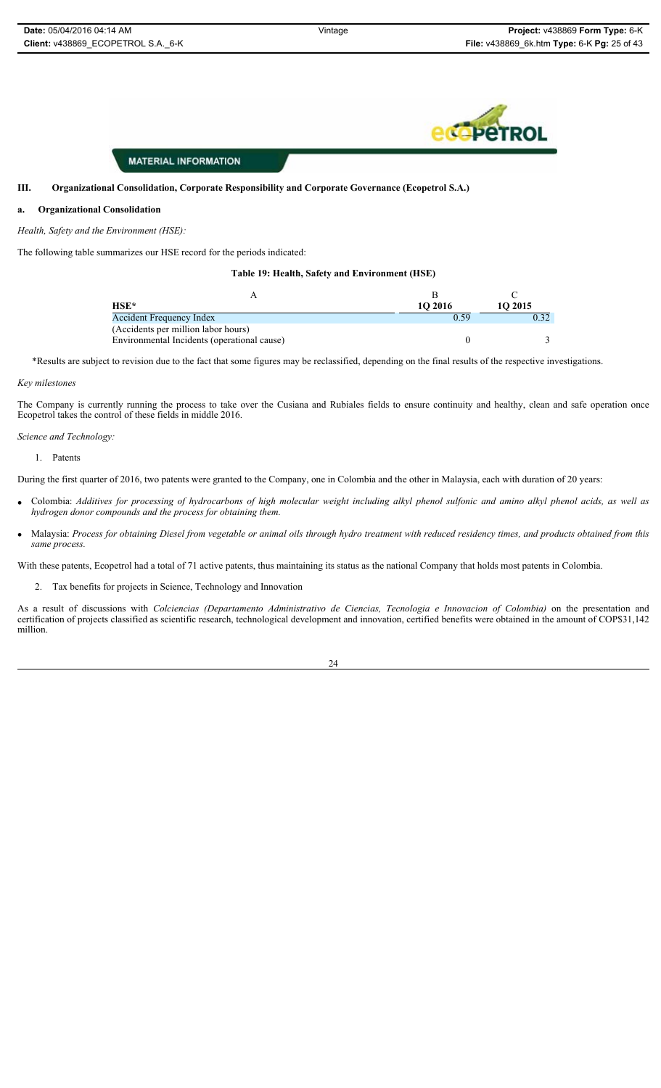#### **III. Organizational Consolidation, Corporate Responsibility and Corporate Governance (Ecopetrol S.A.)**

#### **a. Organizational Consolidation**

#### *Health, Safety and the Environment (HSE):*

The following table summarizes our HSE record for the periods indicated:

#### **Table 19: Health, Safety and Environment (HSE)**

| HSE*                                        | 10 2016 | 10 2015 |
|---------------------------------------------|---------|---------|
| <b>Accident Frequency Index</b>             | 0.59    |         |
| (Accidents per million labor hours)         |         |         |
| Environmental Incidents (operational cause) |         |         |

\*Results are subject to revision due to the fact that some figures may be reclassified, depending on the final results of the respective investigations.

#### *Key milestones*

The Company is currently running the process to take over the Cusiana and Rubiales fields to ensure continuity and healthy, clean and safe operation once Ecopetrol takes the control of these fields in middle 2016.

#### *Science and Technology:*

1. Patents

During the first quarter of 2016, two patents were granted to the Company, one in Colombia and the other in Malaysia, each with duration of 20 years:

- x Colombia: *Additives for processing of hydrocarbons of high molecular weight including alkyl phenol sulfonic and amino alkyl phenol acids, as well as hydrogen donor compounds and the process for obtaining them.*
- x Malaysia: *Process for obtaining Diesel from vegetable or animal oils through hydro treatment with reduced residency times, and products obtained from this same process.*

With these patents, Ecopetrol had a total of 71 active patents, thus maintaining its status as the national Company that holds most patents in Colombia.

2. Tax benefits for projects in Science, Technology and Innovation

As a result of discussions with *Colciencias (Departamento Administrativo de Ciencias, Tecnologia e Innovacion of Colombia)* on the presentation and certification of projects classified as scientific research, technological development and innovation, certified benefits were obtained in the amount of COP\$31,142 million.

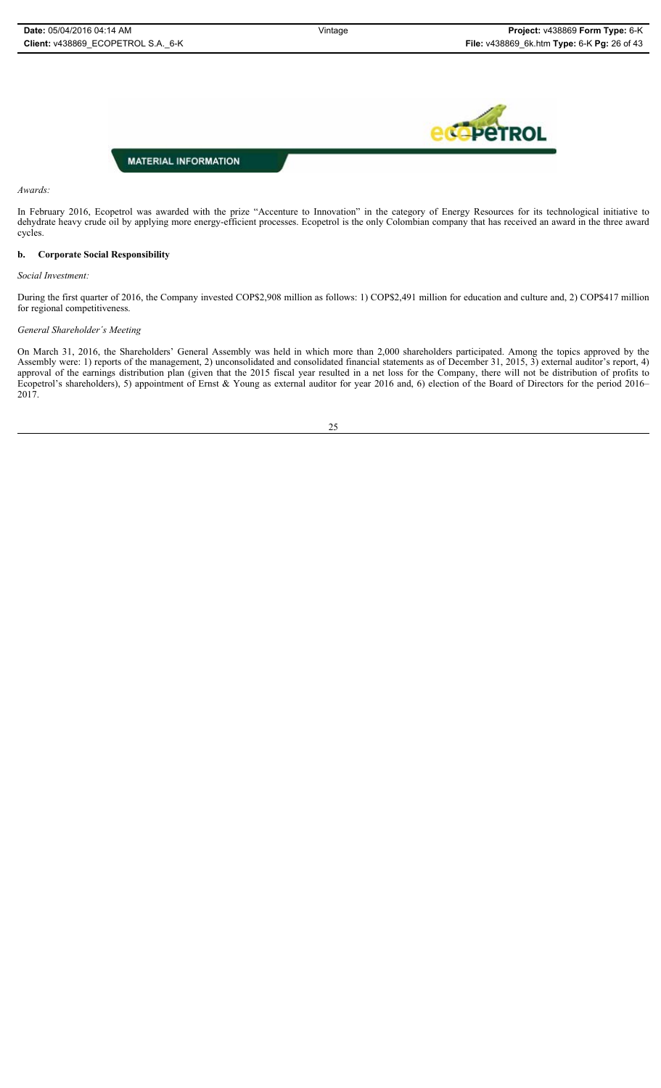

#### *Awards:*

In February 2016, Ecopetrol was awarded with the prize "Accenture to Innovation" in the category of Energy Resources for its technological initiative to dehydrate heavy crude oil by applying more energy-efficient processes. Ecopetrol is the only Colombian company that has received an award in the three award cycles.

#### **b. Corporate Social Responsibility**

*Social Investment:*

During the first quarter of 2016, the Company invested COP\$2,908 million as follows: 1) COP\$2,491 million for education and culture and, 2) COP\$417 million for regional competitiveness.

#### *General Shareholder´s Meeting*

On March 31, 2016, the Shareholders' General Assembly was held in which more than 2,000 shareholders participated. Among the topics approved by the Assembly were: 1) reports of the management, 2) unconsolidated and consolidated financial statements as of December 31, 2015, 3) external auditor's report, 4) approval of the earnings distribution plan (given that the 2015 fiscal year resulted in a net loss for the Company, there will not be distribution of profits to Ecopetrol's shareholders), 5) appointment of Ernst & Young as external auditor for year 2016 and, 6) election of the Board of Directors for the period 2016– 2017.

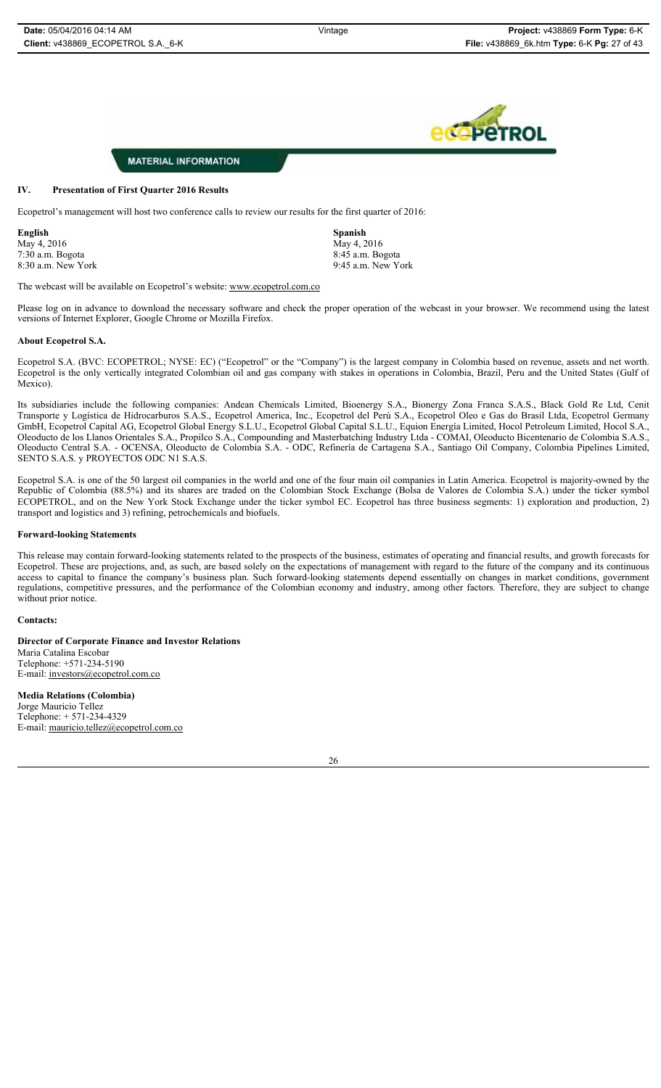

#### **IV. Presentation of First Quarter 2016 Results**

Ecopetrol's management will host two conference calls to review our results for the first quarter of 2016:

**English Spanish**  $\text{May } 4, 2016$   $\text{May } 4, 2016$ 

8:30 a.m. New York 9:45 a.m. New York

7:30 a.m. Bogota 8:45 a.m. Bogota

The webcast will be available on Ecopetrol's website: www.ecopetrol.com.co

Please log on in advance to download the necessary software and check the proper operation of the webcast in your browser. We recommend using the latest versions of Internet Explorer, Google Chrome or Mozilla Firefox.

#### **About Ecopetrol S.A.**

Ecopetrol S.A. (BVC: ECOPETROL; NYSE: EC) ("Ecopetrol" or the "Company") is the largest company in Colombia based on revenue, assets and net worth. Ecopetrol is the only vertically integrated Colombian oil and gas company with stakes in operations in Colombia, Brazil, Peru and the United States (Gulf of Mexico).

Its subsidiaries include the following companies: Andean Chemicals Limited, Bioenergy S.A., Bionergy Zona Franca S.A.S., Black Gold Re Ltd, Cenit Transporte y Logística de Hidrocarburos S.A.S., Ecopetrol America, Inc., Ecopetrol del Perú S.A., Ecopetrol Oleo e Gas do Brasil Ltda, Ecopetrol Germany GmbH, Ecopetrol Capital AG, Ecopetrol Global Energy S.L.U., Ecopetrol Global Capital S.L.U., Equion Energía Limited, Hocol Petroleum Limited, Hocol S.A., Oleoducto de los Llanos Orientales S.A., Propilco S.A., Compounding and Masterbatching Industry Ltda - COMAI, Oleoducto Bicentenario de Colombia S.A.S., Oleoducto Central S.A. - OCENSA, Oleoducto de Colombia S.A. - ODC, Refinería de Cartagena S.A., Santiago Oil Company, Colombia Pipelines Limited, SENTO S.A.S. y PROYECTOS ODC N1 S.A.S.

Ecopetrol S.A. is one of the 50 largest oil companies in the world and one of the four main oil companies in Latin America. Ecopetrol is majority-owned by the Republic of Colombia (88.5%) and its shares are traded on the Colombian Stock Exchange (Bolsa de Valores de Colombia S.A.) under the ticker symbol ECOPETROL, and on the New York Stock Exchange under the ticker symbol EC. Ecopetrol has three business segments: 1) exploration and production, 2) transport and logistics and 3) refining, petrochemicals and biofuels.

#### **Forward-looking Statements**

This release may contain forward-looking statements related to the prospects of the business, estimates of operating and financial results, and growth forecasts for Ecopetrol. These are projections, and, as such, are based solely on the expectations of management with regard to the future of the company and its continuous access to capital to finance the company's business plan. Such forward-looking statements depend essentially on changes in market conditions, government regulations, competitive pressures, and the performance of the Colombian economy and industry, among other factors. Therefore, they are subject to change without prior notice.

#### **Contacts:**

**Director of Corporate Finance and Investor Relations** Maria Catalina Escobar Telephone: +571-234-5190 E-mail: investors@ecopetrol.com.co **Media Relations (Colombia)** 

Jorge Mauricio Tellez Telephone: + 571-234-4329 E-mail: mauricio.tellez@ecopetrol.com.co

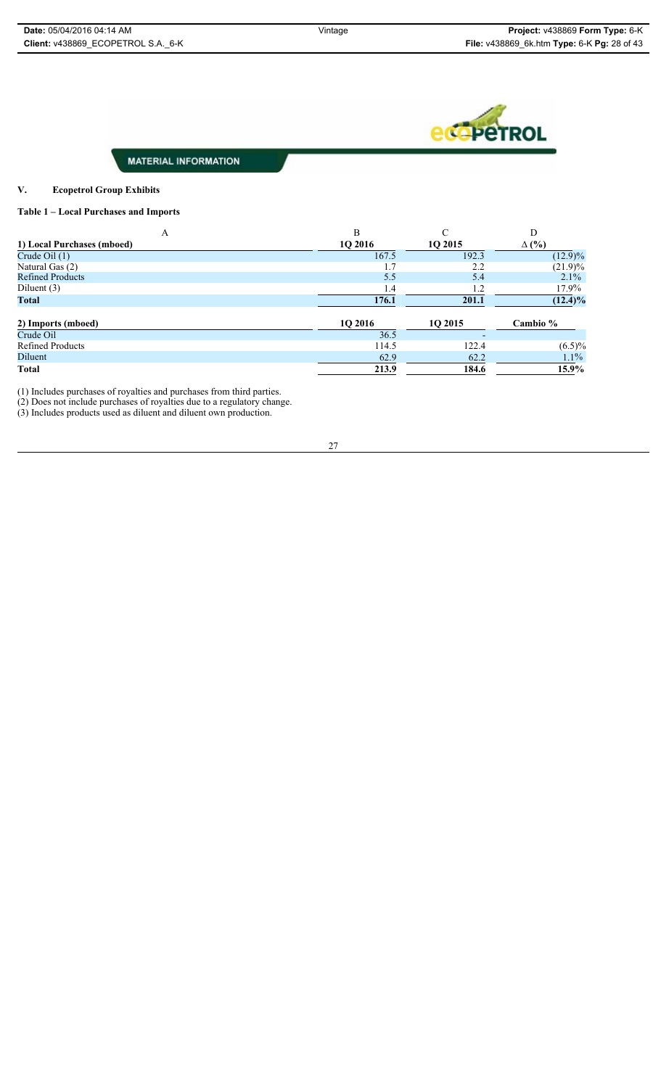

#### **V. Ecopetrol Group Exhibits**

#### **Table 1 – Local Purchases and Imports**

| A                          | B              | $\sqrt{ }$ | D            |
|----------------------------|----------------|------------|--------------|
| 1) Local Purchases (mboed) | <b>1O 2016</b> | 10 2015    | $\Delta$ (%) |
| Crude Oil $(1)$            | 167.5          | 192.3      | $(12.9)\%$   |
| Natural Gas (2)            |                | 2.2        | $(21.9)\%$   |
| <b>Refined Products</b>    | 5.5            | 5.4        | 2.1%         |
| Diluent $(3)$              | 1.4            | 1.2        | $17.9\%$     |
| Total                      | 176.1          | 201.1      | $(12.4)\%$   |
| 2) Imports (mboed)         | 10 2016        | 10 2015    | Cambio %     |
| Crude Oil                  | 36.5           |            |              |
| <b>Refined Products</b>    | 114.5          | 122.4      | $(6.5)\%$    |
| Diluent                    | 62.9           | 62.2       | $1.1\%$      |
| <b>Total</b>               | 213.9          | 184.6      | 15.9%        |

(1) Includes purchases of royalties and purchases from third parties.

(2) Does not include purchases of royalties due to a regulatory change.

(3) Includes products used as diluent and diluent own production.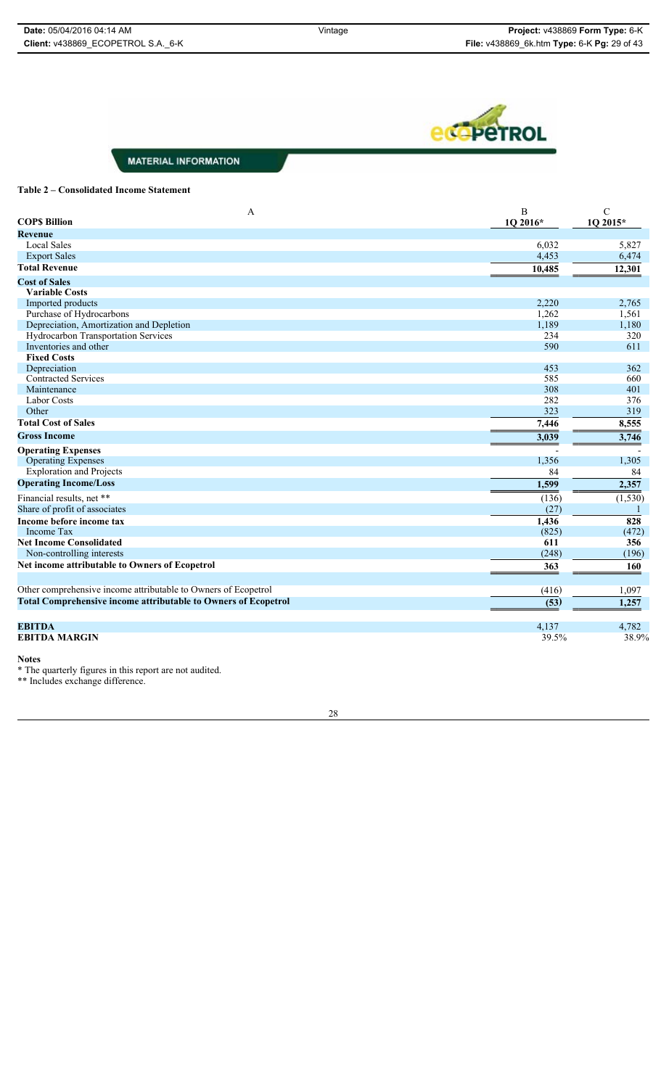

#### **Table 2 – Consolidated Income Statement**

| $\mathbf{A}$<br><b>COPS Billion</b>                                   | B<br>1Q 2016* | $\mathcal{C}$<br>1Q 2015* |
|-----------------------------------------------------------------------|---------------|---------------------------|
| <b>Revenue</b>                                                        |               |                           |
| <b>Local Sales</b>                                                    | 6,032         | 5,827                     |
| <b>Export Sales</b>                                                   | 4,453         | 6,474                     |
| <b>Total Revenue</b>                                                  | 10,485        | 12,301                    |
| <b>Cost of Sales</b>                                                  |               |                           |
| <b>Variable Costs</b>                                                 |               |                           |
| Imported products                                                     | 2,220         | 2,765                     |
| Purchase of Hydrocarbons                                              | 1,262         | 1,561                     |
| Depreciation, Amortization and Depletion                              | 1,189         | 1,180                     |
| Hydrocarbon Transportation Services                                   | 234           | 320                       |
| Inventories and other                                                 | 590           | 611                       |
| <b>Fixed Costs</b>                                                    |               |                           |
| Depreciation                                                          | 453<br>585    | 362<br>660                |
| <b>Contracted Services</b><br>Maintenance                             | 308           | 401                       |
| <b>Labor Costs</b>                                                    | 282           | 376                       |
| Other                                                                 | 323           | 319                       |
| <b>Total Cost of Sales</b>                                            | 7,446         | 8,555                     |
| <b>Gross Income</b>                                                   | 3,039         | 3,746                     |
| <b>Operating Expenses</b>                                             |               |                           |
| <b>Operating Expenses</b>                                             | 1,356         | 1,305                     |
| <b>Exploration and Projects</b>                                       | 84            | 84                        |
| <b>Operating Income/Loss</b>                                          | 1,599         | 2,357                     |
| Financial results, net **                                             | (136)         | (1, 530)                  |
| Share of profit of associates                                         | (27)          |                           |
| Income before income tax                                              | 1,436         | 828                       |
| Income Tax                                                            | (825)         | (472)                     |
| <b>Net Income Consolidated</b>                                        | 611           | 356                       |
| Non-controlling interests                                             | (248)         | (196)                     |
| Net income attributable to Owners of Ecopetrol                        | 363           | 160                       |
|                                                                       |               |                           |
| Other comprehensive income attributable to Owners of Ecopetrol        | (416)         | 1,097                     |
| <b>Total Comprehensive income attributable to Owners of Ecopetrol</b> | (53)          | 1,257                     |
| <b>EBITDA</b>                                                         | 4,137         | 4,782                     |
| <b>EBITDA MARGIN</b>                                                  | 39.5%         | 38.9%                     |

**Notes**

\* The quarterly figures in this report are not audited.

\*\* Includes exchange difference.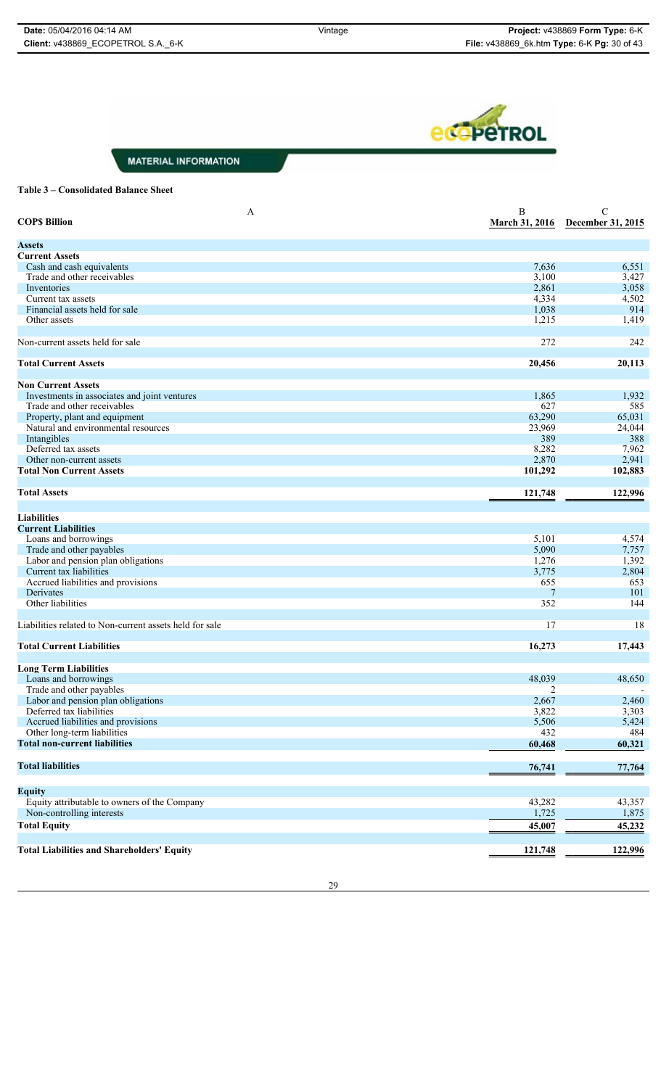**eco**peTROL

**MATERIAL INFORMATION** 

#### **Table 3 – Consolidated Balance Sheet**

| A<br><b>COPS Billion</b>                                | B<br><b>March 31, 2016</b> | $\mathcal{C}$<br>December 31, 2015 |
|---------------------------------------------------------|----------------------------|------------------------------------|
| <b>Assets</b>                                           |                            |                                    |
| <b>Current Assets</b>                                   |                            |                                    |
| Cash and cash equivalents                               | 7,636                      | 6,551                              |
| Trade and other receivables                             | 3,100                      | 3,427                              |
| Inventories                                             | 2,861                      | 3,058                              |
| Current tax assets                                      | 4,334                      | 4,502                              |
| Financial assets held for sale                          | 1,038                      | 914                                |
| Other assets                                            | 1,215                      | 1,419                              |
| Non-current assets held for sale                        | 272                        | 242                                |
| <b>Total Current Assets</b>                             | 20,456                     | 20,113                             |
| <b>Non Current Assets</b>                               |                            |                                    |
| Investments in associates and joint ventures            | 1,865                      | 1,932                              |
| Trade and other receivables                             | 627                        | 585                                |
| Property, plant and equipment                           | 63,290                     | 65,031                             |
| Natural and environmental resources                     | 23,969                     | 24,044                             |
| Intangibles                                             | 389                        | 388                                |
| Deferred tax assets                                     | 8,282                      | 7,962                              |
| Other non-current assets                                | 2,870                      | 2,941                              |
| <b>Total Non Current Assets</b>                         | 101,292                    | 102,883                            |
| <b>Total Assets</b>                                     | 121,748                    | 122,996                            |
|                                                         |                            |                                    |
| <b>Liabilities</b>                                      |                            |                                    |
| <b>Current Liabilities</b>                              |                            |                                    |
| Loans and borrowings                                    | 5,101                      | 4,574                              |
| Trade and other payables                                | 5,090                      | 7,757                              |
| Labor and pension plan obligations                      | 1,276                      | 1,392                              |
| Current tax liabilities                                 | 3,775                      | 2,804                              |
| Accrued liabilities and provisions                      | 655                        | 653                                |
| Derivates                                               | 7                          | 101                                |
| Other liabilities                                       | 352                        | 144                                |
| Liabilities related to Non-current assets held for sale | 17                         | 18                                 |
|                                                         |                            |                                    |
| <b>Total Current Liabilities</b>                        | 16,273                     | 17,443                             |
| <b>Long Term Liabilities</b>                            |                            |                                    |
| Loans and borrowings                                    | 48,039                     | 48,650                             |
| Trade and other payables                                | 2                          |                                    |
| Labor and pension plan obligations                      | 2,667                      | 2,460                              |
| Deferred tax liabilities                                | 3,822                      | 3,303                              |
| Accrued liabilities and provisions                      | 5,506                      | 5,424                              |
| Other long-term liabilities                             | 432                        | 484                                |
| <b>Total non-current liabilities</b>                    | 60,468                     | 60,321                             |
| <b>Total liabilities</b>                                | 76,741                     | 77,764                             |
| <b>Equity</b>                                           |                            |                                    |
| Equity attributable to owners of the Company            | 43,282                     | 43,357                             |
| Non-controlling interests                               | 1,725                      | 1,875                              |
| <b>Total Equity</b>                                     | 45,007                     | 45,232                             |
| <b>Total Liabilities and Shareholders' Equity</b>       | 121,748                    | 122,996                            |
|                                                         |                            |                                    |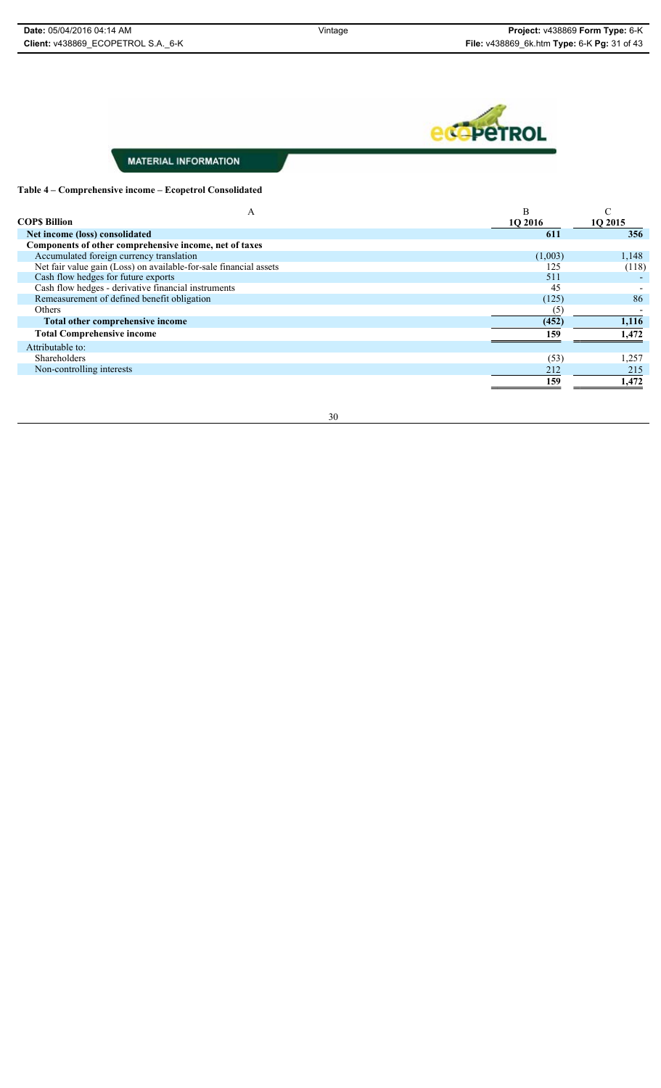

#### **Table 4 – Comprehensive income – Ecopetrol Consolidated**

| А<br><b>COPS Billion</b>                                          | B       |         |
|-------------------------------------------------------------------|---------|---------|
|                                                                   | 1Q 2016 | 1Q 2015 |
| Net income (loss) consolidated                                    | 611     | 356     |
| Components of other comprehensive income, net of taxes            |         |         |
| Accumulated foreign currency translation                          | (1,003) | 1,148   |
| Net fair value gain (Loss) on available-for-sale financial assets | 125     | (118)   |
| Cash flow hedges for future exports                               | 511     |         |
| Cash flow hedges - derivative financial instruments               | 45      |         |
| Remeasurement of defined benefit obligation                       | (125)   | 86      |
| <b>Others</b>                                                     | ( ا     |         |
| Total other comprehensive income                                  | (452)   | 1,116   |
| <b>Total Comprehensive income</b>                                 | 159     | 1,472   |
| Attributable to:                                                  |         |         |
| <b>Shareholders</b>                                               | (53)    | 1,257   |
| Non-controlling interests                                         | 212     | 215     |
|                                                                   | 159     | 1,472   |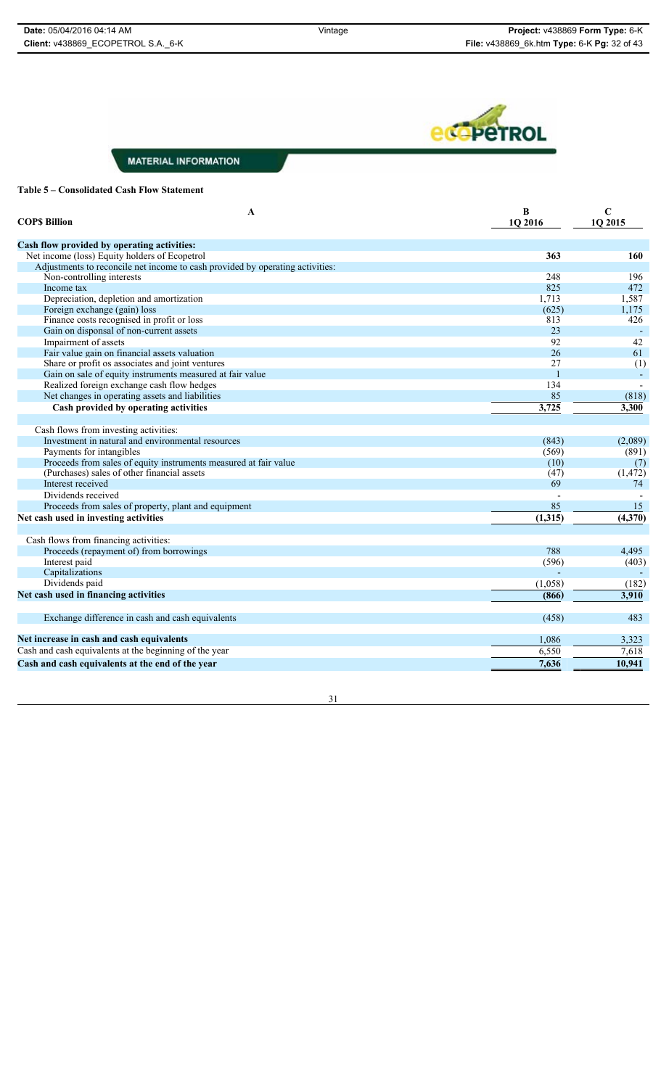

#### **Table 5 – Consolidated Cash Flow Statement**

| A<br><b>COPS Billion</b>                                                      | B<br>1Q 2016 | $\mathbf C$<br>1Q 2015 |
|-------------------------------------------------------------------------------|--------------|------------------------|
|                                                                               |              |                        |
| Cash flow provided by operating activities:                                   |              |                        |
| Net income (loss) Equity holders of Ecopetrol                                 | 363          | 160                    |
| Adjustments to reconcile net income to cash provided by operating activities: |              |                        |
| Non-controlling interests                                                     | 248          | 196                    |
| Income tax                                                                    | 825          | 472                    |
| Depreciation, depletion and amortization                                      | 1,713        | 1,587                  |
| Foreign exchange (gain) loss                                                  | (625)        | 1,175                  |
| Finance costs recognised in profit or loss                                    | 813          | 426                    |
| Gain on disponsal of non-current assets                                       | 23           |                        |
| Impairment of assets                                                          | 92           | 42                     |
| Fair value gain on financial assets valuation                                 | 26           | 61                     |
| Share or profit os associates and joint ventures                              | 27           | (1)                    |
| Gain on sale of equity instruments measured at fair value                     | $\mathbf{1}$ | $\blacksquare$         |
| Realized foreign exchange cash flow hedges                                    | 134          |                        |
| Net changes in operating assets and liabilities                               | 85           | (818)                  |
| Cash provided by operating activities                                         | 3,725        | 3,300                  |
|                                                                               |              |                        |
| Cash flows from investing activities:                                         |              |                        |
| Investment in natural and environmental resources                             | (843)        | (2,089)                |
| Payments for intangibles                                                      | (569)        | (891)                  |
| Proceeds from sales of equity instruments measured at fair value              | (10)         | (7)                    |
| (Purchases) sales of other financial assets                                   | (47)         | (1, 472)               |
| Interest received                                                             | 69           | 74                     |
| Dividends received                                                            |              |                        |
| Proceeds from sales of property, plant and equipment                          | 85           | 15                     |
| Net cash used in investing activities                                         | (1,315)      | (4,370)                |
|                                                                               |              |                        |
| Cash flows from financing activities:                                         |              |                        |
| Proceeds (repayment of) from borrowings                                       | 788          | 4,495                  |
| Interest paid                                                                 | (596)        | (403)                  |
| Capitalizations                                                               |              |                        |
| Dividends paid                                                                | (1,058)      | (182)                  |
| Net cash used in financing activities                                         | (866)        | 3,910                  |
|                                                                               |              |                        |
| Exchange difference in cash and cash equivalents                              | (458)        | 483                    |
| Net increase in cash and cash equivalents                                     | 1,086        | 3,323                  |
| Cash and cash equivalents at the beginning of the year                        | 6,550        | 7,618                  |
| Cash and cash equivalents at the end of the year                              | 7,636        | 10,941                 |
|                                                                               |              |                        |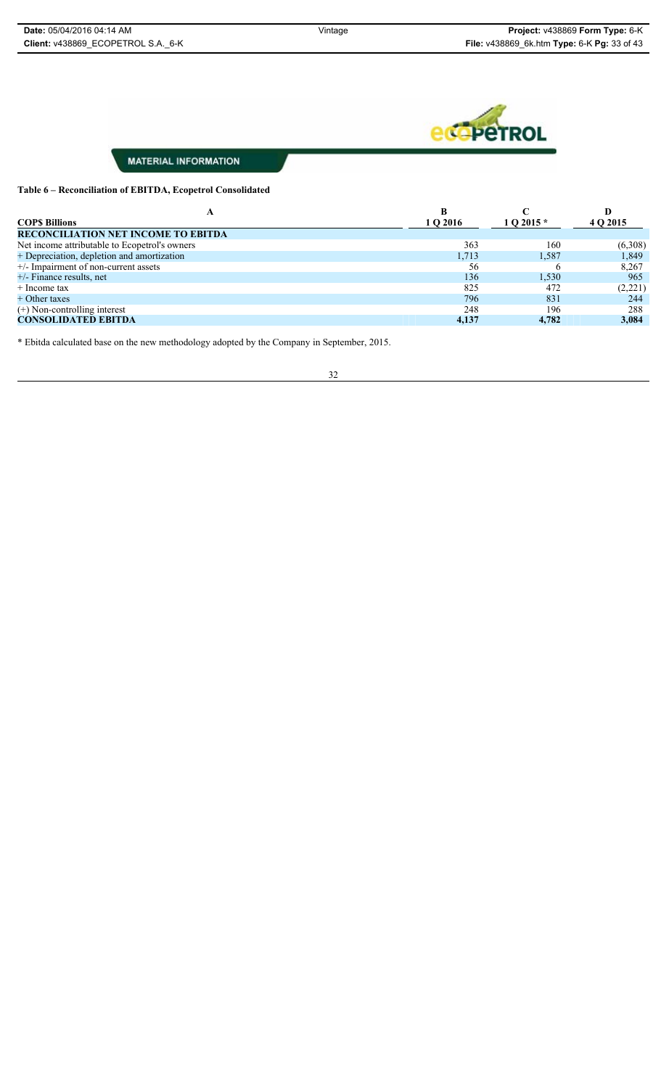

#### **Table 6 – Reconciliation of EBITDA, Ecopetrol Consolidated**

|                                               |          |            | D        |
|-----------------------------------------------|----------|------------|----------|
| <b>COPS Billions</b>                          | 1 O 2016 | 1 O 2015 * | 4 Q 2015 |
| <b>RECONCILIATION NET INCOME TO EBITDA</b>    |          |            |          |
| Net income attributable to Ecopetrol's owners | 363      | 160        | (6,308)  |
| + Depreciation, depletion and amortization    | 1,713    | 1,587      | 1,849    |
| $+/-$ Impairment of non-current assets        | 56       |            | 8,267    |
| $+/-$ Finance results, net                    | 136      | 1,530      | 965      |
| $+$ Income tax                                | 825      | 472        | (2,221)  |
| + Other taxes                                 | 796      | 831        | 244      |
| $(+)$ Non-controlling interest                | 248      | 196        | 288      |
| <b>CONSOLIDATED EBITDA</b>                    | 4,137    | 4.782      | 3,084    |

\* Ebitda calculated base on the new methodology adopted by the Company in September, 2015.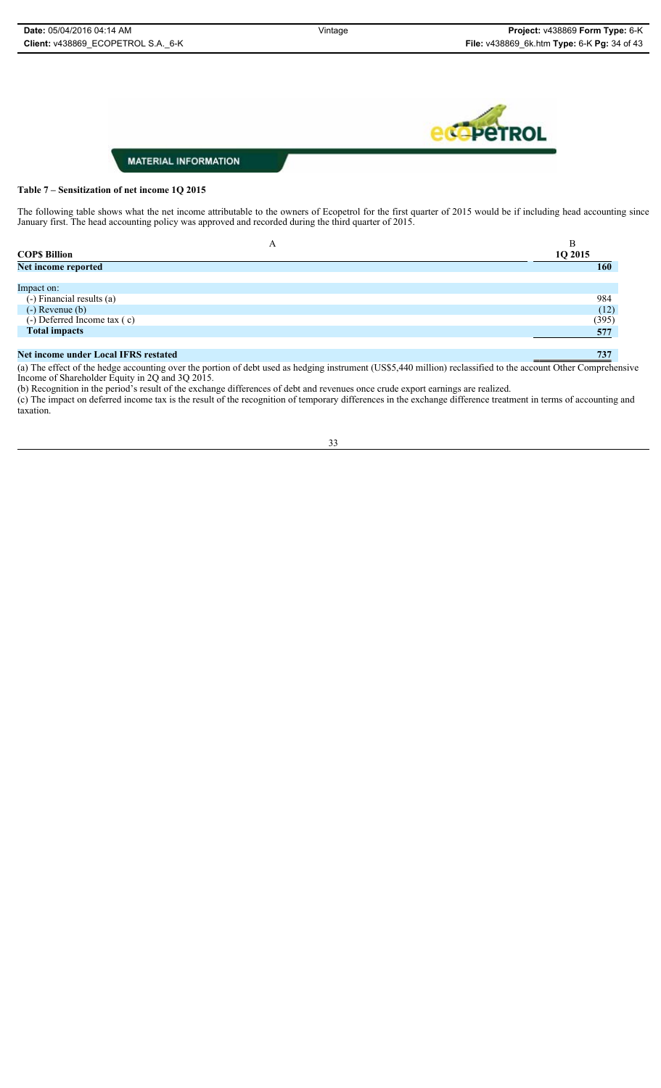

#### **Table 7 – Sensitization of net income 1Q 2015**

The following table shows what the net income attributable to the owners of Ecopetrol for the first quarter of 2015 would be if including head accounting since January first. The head accounting policy was approved and recorded during the third quarter of 2015.

| A                           | B          |
|-----------------------------|------------|
| <b>COPS Billion</b>         | 1Q 2015    |
| Net income reported         | <b>160</b> |
|                             |            |
| Impact on:                  |            |
| (-) Financial results (a)   | 984        |
| $(-)$ Revenue $(b)$         | (12)       |
| (-) Deferred Income tax (c) | (395)      |
| <b>Total impacts</b>        | 577        |
|                             |            |

#### **Net income under Local IFRS restated 737**

(a) The effect of the hedge accounting over the portion of debt used as hedging instrument (US\$5,440 million) reclassified to the account Other Comprehensive Income of Shareholder Equity in 2Q and 3Q 2015.

(b) Recognition in the period's result of the exchange differences of debt and revenues once crude export earnings are realized.

(c) The impact on deferred income tax is the result of the recognition of temporary differences in the exchange difference treatment in terms of accounting and taxation.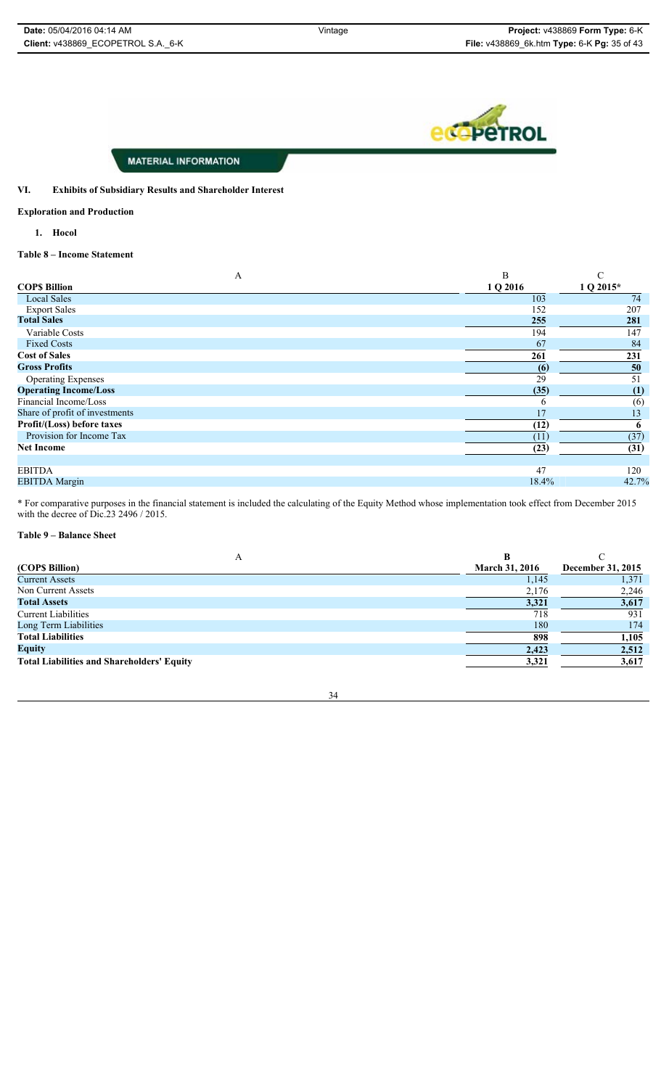**eco**peTROL

#### **MATERIAL INFORMATION**

#### **VI. Exhibits of Subsidiary Results and Shareholder Interest**

**Exploration and Production**

**1. Hocol**

**Table 8 – Income Statement**

| A                              | B        | $\sqrt{ }$  |
|--------------------------------|----------|-------------|
| <b>COPS Billion</b>            | 1 Q 2016 | $1 Q 2015*$ |
| <b>Local Sales</b>             | 103      | 74          |
| <b>Export Sales</b>            | 152      | 207         |
| <b>Total Sales</b>             | 255      | 281         |
| Variable Costs                 | 194      | 147         |
| <b>Fixed Costs</b>             | 67       | 84          |
| <b>Cost of Sales</b>           | 261      | 231         |
| <b>Gross Profits</b>           | (6)      | 50          |
| <b>Operating Expenses</b>      | 29       | 51          |
| <b>Operating Income/Loss</b>   | (35)     | (1)         |
| Financial Income/Loss          | n        | (6)         |
| Share of profit of investments | 17       | 13          |
| Profit/(Loss) before taxes     | (12)     |             |
| Provision for Income Tax       | (11)     | (37)        |
| <b>Net Income</b>              | (23)     | (31)        |
|                                |          |             |
| <b>EBITDA</b>                  | 47       | 120         |
| <b>EBITDA</b> Margin           | 18.4%    | 42.7%       |

\* For comparative purposes in the financial statement is included the calculating of the Equity Method whose implementation took effect from December 2015 with the decree of Dic.23 2496 / 2015.

#### **Table 9 – Balance Sheet**

| (COP\$ Billion)                                   | <b>March 31, 2016</b> | December 31, 2015 |
|---------------------------------------------------|-----------------------|-------------------|
| <b>Current Assets</b>                             | 1,145                 | 1,371             |
| Non Current Assets                                | 2,176                 | 2,246             |
| <b>Total Assets</b>                               | 3,321                 | 3,617             |
| <b>Current Liabilities</b>                        | 718                   | 931               |
| Long Term Liabilities                             | 180                   | 174               |
| <b>Total Liabilities</b>                          | 898                   | 1,105             |
| <b>Equity</b>                                     | 2,423                 | 2,512             |
| <b>Total Liabilities and Shareholders' Equity</b> | 3,321                 | 3,617             |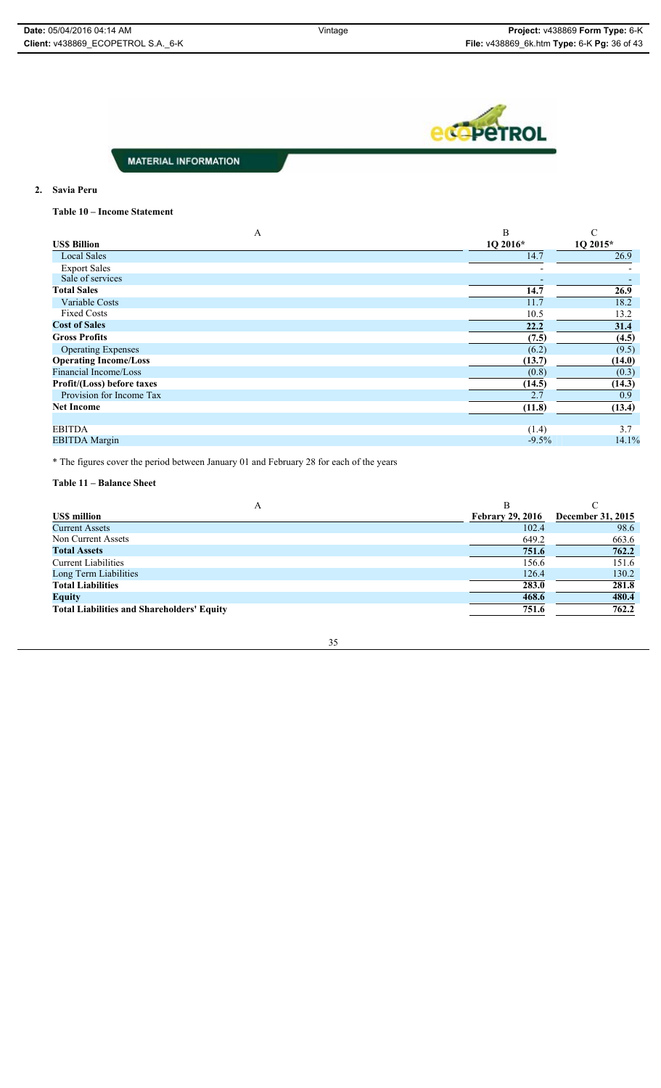

#### **2. Savia Peru**

**Table 10 – Income Statement**

| A                            | B        | C        |
|------------------------------|----------|----------|
| <b>USS Billion</b>           | 10 2016* | 1Q 2015* |
| <b>Local Sales</b>           | 14.7     | 26.9     |
| <b>Export Sales</b>          |          |          |
| Sale of services             |          |          |
| <b>Total Sales</b>           | 14.7     | 26.9     |
| Variable Costs               | 11.7     | 18.2     |
| <b>Fixed Costs</b>           | 10.5     | 13.2     |
| <b>Cost of Sales</b>         | 22.2     | 31.4     |
| <b>Gross Profits</b>         | (7.5)    | (4.5)    |
| <b>Operating Expenses</b>    | (6.2)    | (9.5)    |
| <b>Operating Income/Loss</b> | (13.7)   | (14.0)   |
| Financial Income/Loss        | (0.8)    | (0.3)    |
| Profit/(Loss) before taxes   | (14.5)   | (14.3)   |
| Provision for Income Tax     | 2.7      | 0.9      |
| <b>Net Income</b>            | (11.8)   | (13.4)   |
|                              |          |          |
| <b>EBITDA</b>                | (1.4)    | 3.7      |
| <b>EBITDA</b> Margin         | $-9.5%$  | 14.1%    |
|                              |          |          |

\* The figures cover the period between January 01 and February 28 for each of the years

**Table 11 – Balance Sheet**

| A                                                 | в                       |                   |
|---------------------------------------------------|-------------------------|-------------------|
| <b>US\$</b> million                               | <b>Febrary 29, 2016</b> | December 31, 2015 |
| <b>Current Assets</b>                             | 102.4                   | 98.6              |
| Non Current Assets                                | 649.2                   | 663.6             |
| <b>Total Assets</b>                               | 751.6                   | 762.2             |
| <b>Current Liabilities</b>                        | 156.6                   | 151.6             |
| Long Term Liabilities                             | 126.4                   | 130.2             |
| <b>Total Liabilities</b>                          | 283.0                   | 281.8             |
| <b>Equity</b>                                     | 468.6                   | 480.4             |
| <b>Total Liabilities and Shareholders' Equity</b> | 751.6                   | 762.2             |
|                                                   |                         |                   |

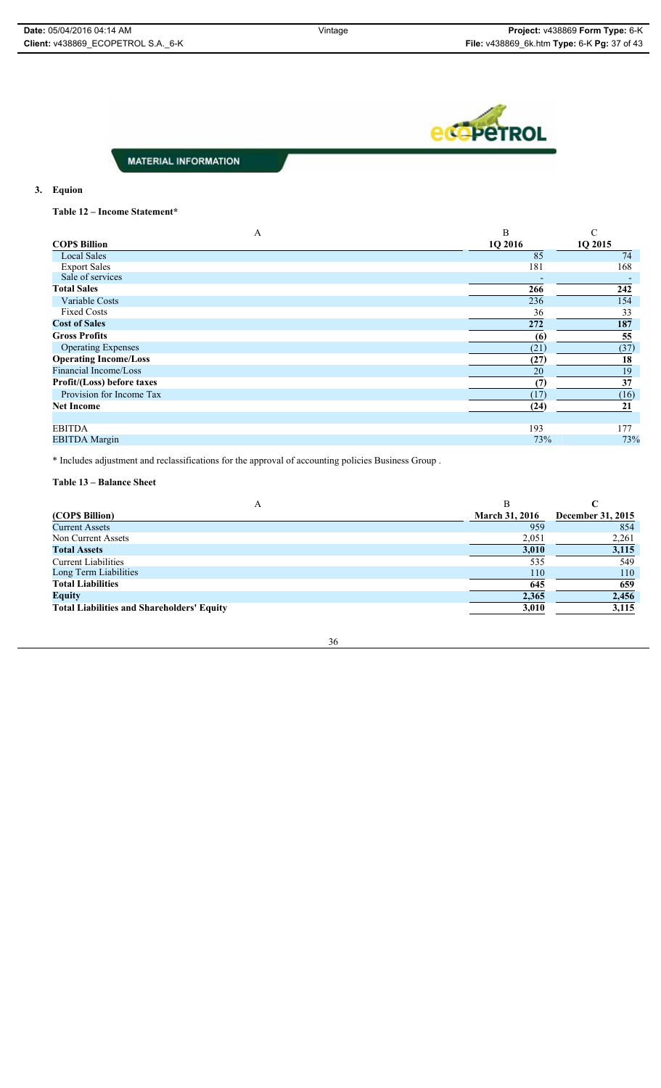ecopeTROL

**MATERIAL INFORMATION** 

#### **3. Equion**

**Table 12 – Income Statement\***

| A                            | B       | C       |
|------------------------------|---------|---------|
| <b>COPS Billion</b>          | 1Q 2016 | 1Q 2015 |
| <b>Local Sales</b>           | 85      | 74      |
| <b>Export Sales</b>          | 181     | 168     |
| Sale of services             |         |         |
| <b>Total Sales</b>           | 266     | 242     |
| Variable Costs               | 236     | 154     |
| <b>Fixed Costs</b>           | 36      | 33      |
| <b>Cost of Sales</b>         | 272     | 187     |
| <b>Gross Profits</b>         | (6)     | 55      |
| <b>Operating Expenses</b>    | (21)    | (37)    |
| <b>Operating Income/Loss</b> | (27)    | 18      |
| Financial Income/Loss        | 20      | 19      |
| Profit/(Loss) before taxes   | (7)     | 37      |
| Provision for Income Tax     | (17)    | (16)    |
| <b>Net Income</b>            | (24)    | 21      |
|                              |         |         |
| <b>EBITDA</b>                | 193     | 177     |
| <b>EBITDA</b> Margin         | 73%     | 73%     |
|                              |         |         |

\* Includes adjustment and reclassifications for the approval of accounting policies Business Group .

### **Table 13 – Balance Sheet**

| А                                                 | В                     |                   |
|---------------------------------------------------|-----------------------|-------------------|
| (COPS Billion)                                    | <b>March 31, 2016</b> | December 31, 2015 |
| <b>Current Assets</b>                             | 959                   | 854               |
| Non Current Assets                                | 2,051                 | 2,261             |
| <b>Total Assets</b>                               | 3,010                 | 3,115             |
| <b>Current Liabilities</b>                        | 535                   | 549               |
| Long Term Liabilities                             | 110                   | 110               |
| <b>Total Liabilities</b>                          | 645                   | 659               |
| <b>Equity</b>                                     | 2,365                 | 2,456             |
| <b>Total Liabilities and Shareholders' Equity</b> | 3,010                 | 3,115             |
|                                                   |                       |                   |

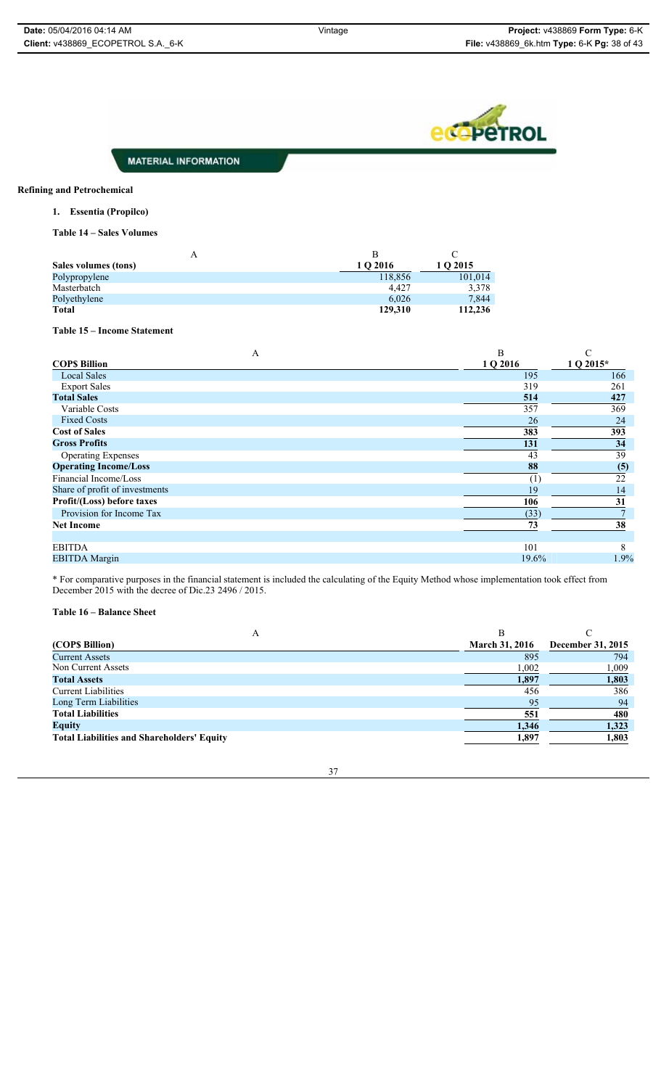

#### **Refining and Petrochemical**

**1. Essentia (Propilco)**

**Table 14 – Sales Volumes**

| A                    | В        |          |
|----------------------|----------|----------|
| Sales volumes (tons) | 1 O 2016 | 1 O 2015 |
| Polypropylene        | 118,856  | 101.014  |
| Masterbatch          | 4.427    | 3,378    |
| Polyethylene         | 6,026    | 7,844    |
| <b>Total</b>         | 129.310  | 112,236  |

#### **Table 15 – Income Statement**

| Α                              | B        |           |
|--------------------------------|----------|-----------|
| <b>COPS Billion</b>            | 1 Q 2016 | 1 Q 2015* |
| <b>Local Sales</b>             | 195      | 166       |
| <b>Export Sales</b>            | 319      | 261       |
| <b>Total Sales</b>             | 514      | 427       |
| Variable Costs                 | 357      | 369       |
| <b>Fixed Costs</b>             | 26       | 24        |
| <b>Cost of Sales</b>           | 383      | 393       |
| <b>Gross Profits</b>           | 131      | 34        |
| <b>Operating Expenses</b>      | 43       | 39        |
| <b>Operating Income/Loss</b>   | 88       | (5)       |
| Financial Income/Loss          | (1)      | 22        |
| Share of profit of investments | 19       | 14        |
| Profit/(Loss) before taxes     | 106      | 31        |
| Provision for Income Tax       | (33)     |           |
| <b>Net Income</b>              | 73       | 38        |
| <b>EBITDA</b>                  | 101      | 8         |
| <b>EBITDA</b> Margin           | 19.6%    | 1.9%      |

\* For comparative purposes in the financial statement is included the calculating of the Equity Method whose implementation took effect from December 2015 with the decree of Dic.23 2496 / 2015.

#### **Table 16 – Balance Sheet**

| (COPS Billion)                                    | <b>March 31, 2016</b> | December 31, 2015 |
|---------------------------------------------------|-----------------------|-------------------|
| <b>Current Assets</b>                             | 895                   | 794               |
| Non Current Assets                                | 1,002                 | 1,009             |
| <b>Total Assets</b>                               | 1,897                 | 1,803             |
| <b>Current Liabilities</b>                        | 456                   | 386               |
| Long Term Liabilities                             | 95                    | 94                |
| <b>Total Liabilities</b>                          | 551                   | 480               |
| <b>Equity</b>                                     | 1,346                 | 1,323             |
| <b>Total Liabilities and Shareholders' Equity</b> | 1,897                 | 1,803             |
|                                                   |                       |                   |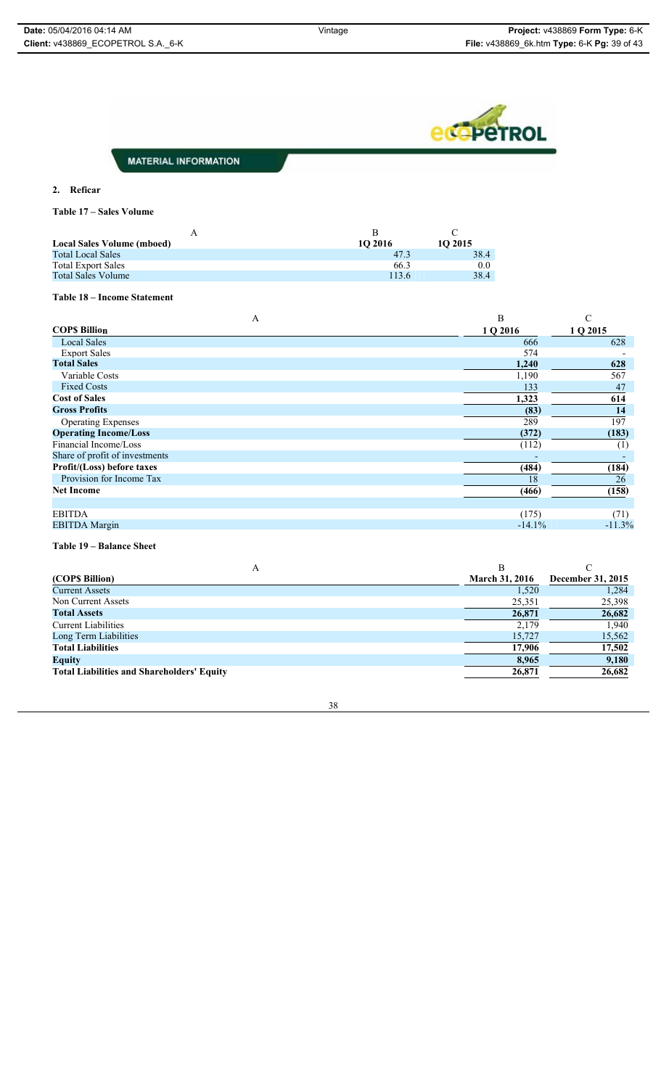

#### **2. Reficar**

**Table 17 – Sales Volume**

| <b>Local Sales Volume (mboed)</b> | 10 2016 | 10 2015 |
|-----------------------------------|---------|---------|
| <b>Total Local Sales</b>          | 47.3    | 38.4    |
| <b>Total Export Sales</b>         | 66.3    | 0.0     |
| <b>Total Sales Volume</b>         | 113.6   | 38.4    |

#### **Table 18 – Income Statement**

| Α                              | B        |          |
|--------------------------------|----------|----------|
| <b>COPS Billion</b>            | 1 Q 2016 | 1 Q 2015 |
| <b>Local Sales</b>             | 666      | 628      |
| <b>Export Sales</b>            | 574      |          |
| <b>Total Sales</b>             | 1,240    | 628      |
| Variable Costs                 | 1,190    | 567      |
| <b>Fixed Costs</b>             | 133      | 47       |
| <b>Cost of Sales</b>           | 1,323    | 614      |
| <b>Gross Profits</b>           | (83)     | 14       |
| <b>Operating Expenses</b>      | 289      | 197      |
| <b>Operating Income/Loss</b>   | (372)    | (183)    |
| Financial Income/Loss          | (112)    | (1)      |
| Share of profit of investments |          |          |
| Profit/(Loss) before taxes     | (484)    | (184)    |
| Provision for Income Tax       | 18       | 26       |
| <b>Net Income</b>              | (466)    | (158)    |
|                                |          |          |
| <b>EBITDA</b>                  | (175)    | (71)     |
| <b>EBITDA</b> Margin           | $-14.1%$ | $-11.3%$ |

**Table 19 – Balance Sheet**

| A                                                 |                       |                   |
|---------------------------------------------------|-----------------------|-------------------|
| (COPS Billion)                                    | <b>March 31, 2016</b> | December 31, 2015 |
| <b>Current Assets</b>                             | 1,520                 | 1,284             |
| Non Current Assets                                | 25,351                | 25,398            |
| <b>Total Assets</b>                               | 26,871                | 26,682            |
| <b>Current Liabilities</b>                        | 2,179                 | 1.940             |
| Long Term Liabilities                             | 15,727                | 15,562            |
| <b>Total Liabilities</b>                          | 17,906                | 17,502            |
| <b>Equity</b>                                     | 8,965                 | 9,180             |
| <b>Total Liabilities and Shareholders' Equity</b> | 26,871                | 26,682            |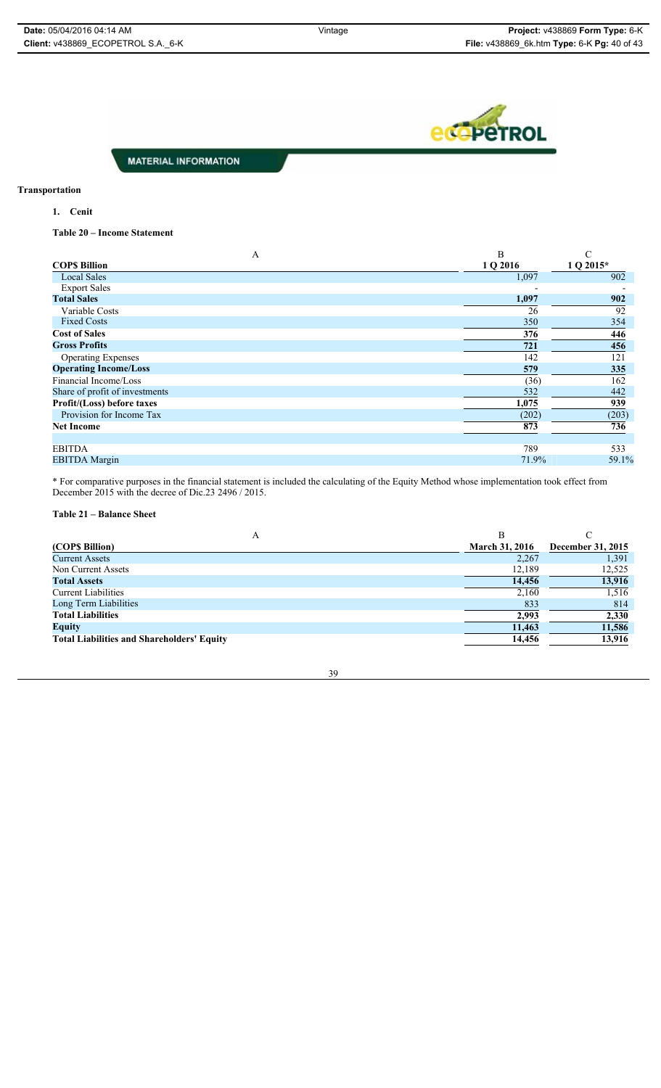**eco** PeTROL

**MATERIAL INFORMATION** 

### **Transportation**

**1. Cenit**

**Table 20 – Income Statement**

| A                              | B        |           |
|--------------------------------|----------|-----------|
| <b>COPS Billion</b>            | 1 Q 2016 | 1 Q 2015* |
| <b>Local Sales</b>             | 1,097    | 902       |
| <b>Export Sales</b>            |          |           |
| <b>Total Sales</b>             | 1,097    | 902       |
| Variable Costs                 | 26       | 92        |
| <b>Fixed Costs</b>             | 350      | 354       |
| <b>Cost of Sales</b>           | 376      | 446       |
| <b>Gross Profits</b>           | 721      | 456       |
| <b>Operating Expenses</b>      | 142      | 121       |
| <b>Operating Income/Loss</b>   | 579      | 335       |
| Financial Income/Loss          | (36)     | 162       |
| Share of profit of investments | 532      | 442       |
| Profit/(Loss) before taxes     | 1,075    | 939       |
| Provision for Income Tax       | (202)    | (203)     |
| <b>Net Income</b>              | 873      | 736       |
|                                |          |           |
| <b>EBITDA</b>                  | 789      | 533       |
| <b>EBITDA</b> Margin           | 71.9%    | 59.1%     |

\* For comparative purposes in the financial statement is included the calculating of the Equity Method whose implementation took effect from December 2015 with the decree of Dic.23 2496 / 2015.

#### **Table 21 – Balance Sheet**

| А                                                 | В                     |                   |
|---------------------------------------------------|-----------------------|-------------------|
| (COPS Billion)                                    | <b>March 31, 2016</b> | December 31, 2015 |
| <b>Current Assets</b>                             | 2,267                 | 1,391             |
| Non Current Assets                                | 12,189                | 12,525            |
| <b>Total Assets</b>                               | 14,456                | 13,916            |
| <b>Current Liabilities</b>                        | 2,160                 | 1,516             |
| Long Term Liabilities                             | 833                   | 814               |
| <b>Total Liabilities</b>                          | 2,993                 | 2,330             |
| <b>Equity</b>                                     | 11,463                | 11,586            |
| <b>Total Liabilities and Shareholders' Equity</b> | 14,456                | 13,916            |
|                                                   |                       |                   |

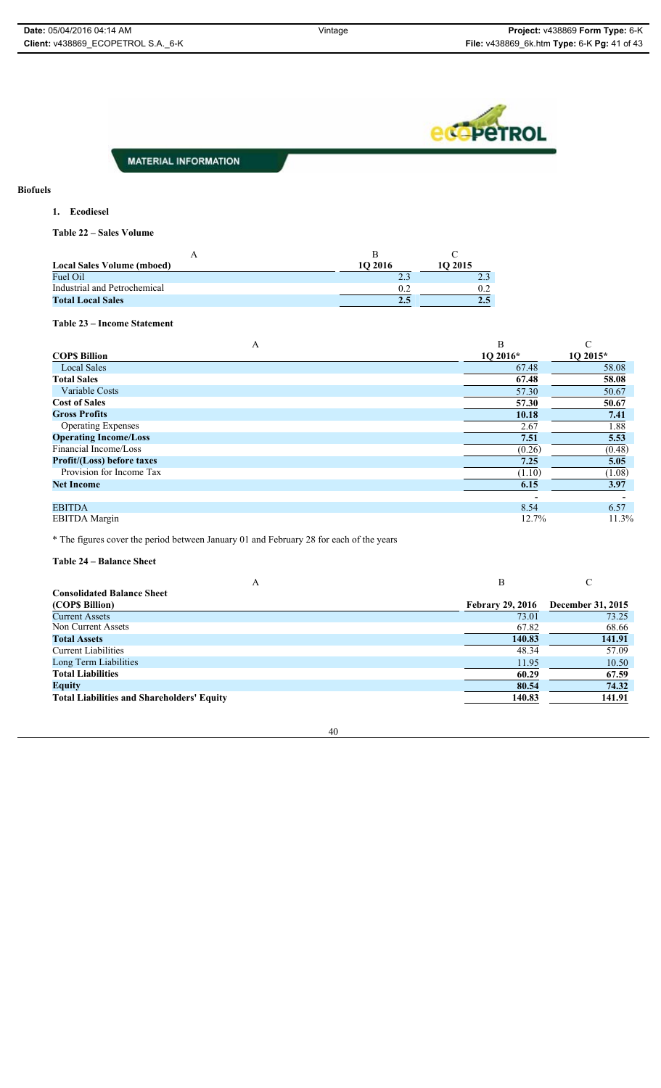**eco**peTROL

**MATERIAL INFORMATION** 

#### **Biofuels**

**1. Ecodiesel**

**Table 22 – Sales Volume**

| <b>Local Sales Volume (mboed)</b> | 10 2016       | 10 2015 |
|-----------------------------------|---------------|---------|
| Fuel Oil                          | $\mathcal{D}$ |         |
| Industrial and Petrochemical      |               | 02      |
| <b>Total Local Sales</b>          |               | 2.5     |

#### **Table 23 – Income Statement**

| А                                 | B        |          |
|-----------------------------------|----------|----------|
| <b>COPS Billion</b>               | 10 2016* | 1O 2015* |
| <b>Local Sales</b>                | 67.48    | 58.08    |
| <b>Total Sales</b>                | 67.48    | 58.08    |
| Variable Costs                    | 57.30    | 50.67    |
| <b>Cost of Sales</b>              | 57.30    | 50.67    |
| <b>Gross Profits</b>              | 10.18    | 7.41     |
| <b>Operating Expenses</b>         | 2.67     | 1.88     |
| <b>Operating Income/Loss</b>      | 7.51     | 5.53     |
| Financial Income/Loss             | (0.26)   | (0.48)   |
| <b>Profit/(Loss) before taxes</b> | 7.25     | 5.05     |
| Provision for Income Tax          | (1.10)   | (1.08)   |
| <b>Net Income</b>                 | 6.15     | 3.97     |
|                                   |          |          |
| <b>EBITDA</b>                     | 8.54     | 6.57     |
| <b>EBITDA</b> Margin              | 12.7%    | 11.3%    |

\* The figures cover the period between January 01 and February 28 for each of the years

**Table 24 – Balance Sheet**

| A                                                 | B                       |                   |
|---------------------------------------------------|-------------------------|-------------------|
| <b>Consolidated Balance Sheet</b>                 |                         |                   |
| (COPS Billion)                                    | <b>Febrary 29, 2016</b> | December 31, 2015 |
| <b>Current Assets</b>                             | 73.01                   | 73.25             |
| Non Current Assets                                | 67.82                   | 68.66             |
| <b>Total Assets</b>                               | 140.83                  | 141.91            |
| <b>Current Liabilities</b>                        | 48.34                   | 57.09             |
| Long Term Liabilities                             | 11.95                   | 10.50             |
| <b>Total Liabilities</b>                          | 60.29                   | 67.59             |
| <b>Equity</b>                                     | 80.54                   | 74.32             |
| <b>Total Liabilities and Shareholders' Equity</b> | 140.83                  | 141.91            |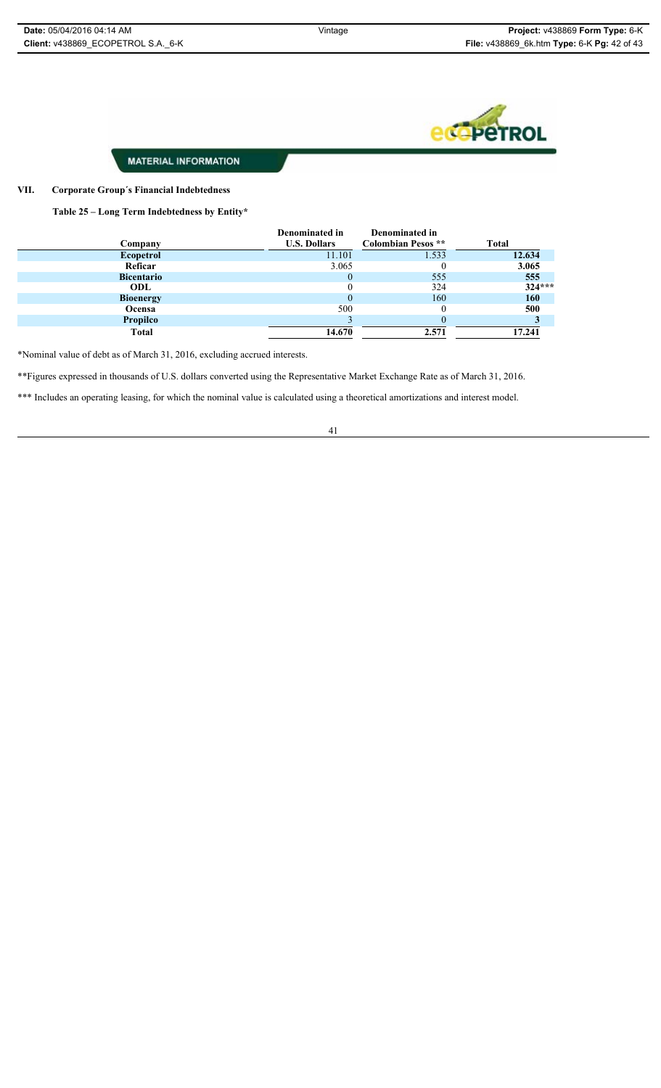

#### **VII. Corporate Group´s Financial Indebtedness**

**Table 25 – Long Term Indebtedness by Entity\***

|                   | Denominated in      | Denominated in            |              |
|-------------------|---------------------|---------------------------|--------------|
| Company           | <b>U.S. Dollars</b> | <b>Colombian Pesos</b> ** | <b>Total</b> |
| <b>Ecopetrol</b>  | 11.101              | 1.533                     | 12.634       |
| Reficar           | 3.065               |                           | 3.065        |
| <b>Bicentario</b> |                     | 555                       | 555          |
| ODL               |                     | 324                       | $324***$     |
| <b>Bioenergy</b>  | $\theta$            | 160                       | 160          |
| Ocensa            | 500                 |                           | 500          |
| <b>Propilco</b>   |                     |                           |              |
| <b>Total</b>      | 14.670              | 2.571                     | 17.241       |

\*Nominal value of debt as of March 31, 2016, excluding accrued interests.

\*\*Figures expressed in thousands of U.S. dollars converted using the Representative Market Exchange Rate as of March 31, 2016.

\*\*\* Includes an operating leasing, for which the nominal value is calculated using a theoretical amortizations and interest model.